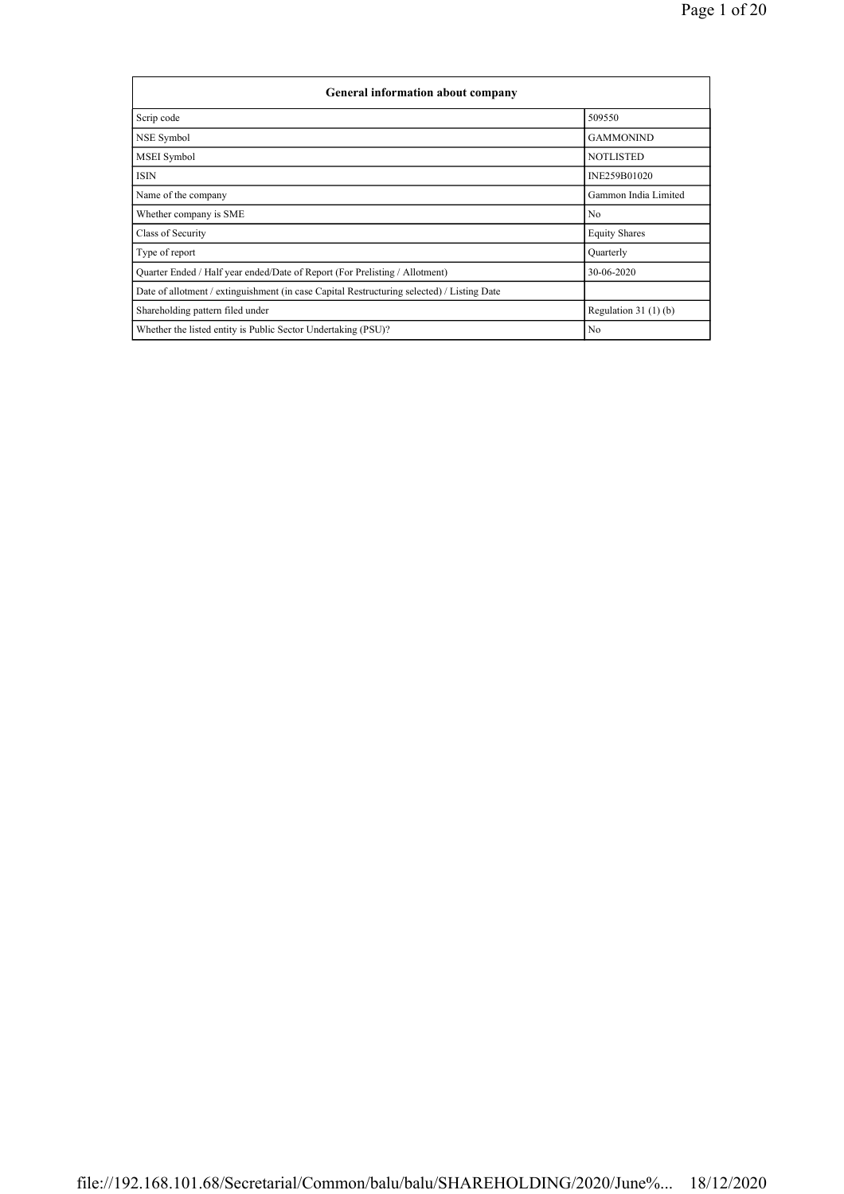| <b>General information about company</b>                                                   |                       |
|--------------------------------------------------------------------------------------------|-----------------------|
| Scrip code                                                                                 | 509550                |
| NSE Symbol                                                                                 | <b>GAMMONIND</b>      |
| <b>MSEI</b> Symbol                                                                         | <b>NOTLISTED</b>      |
| <b>ISIN</b>                                                                                | INE259B01020          |
| Name of the company                                                                        | Gammon India Limited  |
| Whether company is SME                                                                     | N <sub>0</sub>        |
| Class of Security                                                                          | <b>Equity Shares</b>  |
| Type of report                                                                             | Quarterly             |
| Quarter Ended / Half year ended/Date of Report (For Prelisting / Allotment)                | 30-06-2020            |
| Date of allotment / extinguishment (in case Capital Restructuring selected) / Listing Date |                       |
| Shareholding pattern filed under                                                           | Regulation $31(1)(b)$ |
| Whether the listed entity is Public Sector Undertaking (PSU)?                              | N <sub>0</sub>        |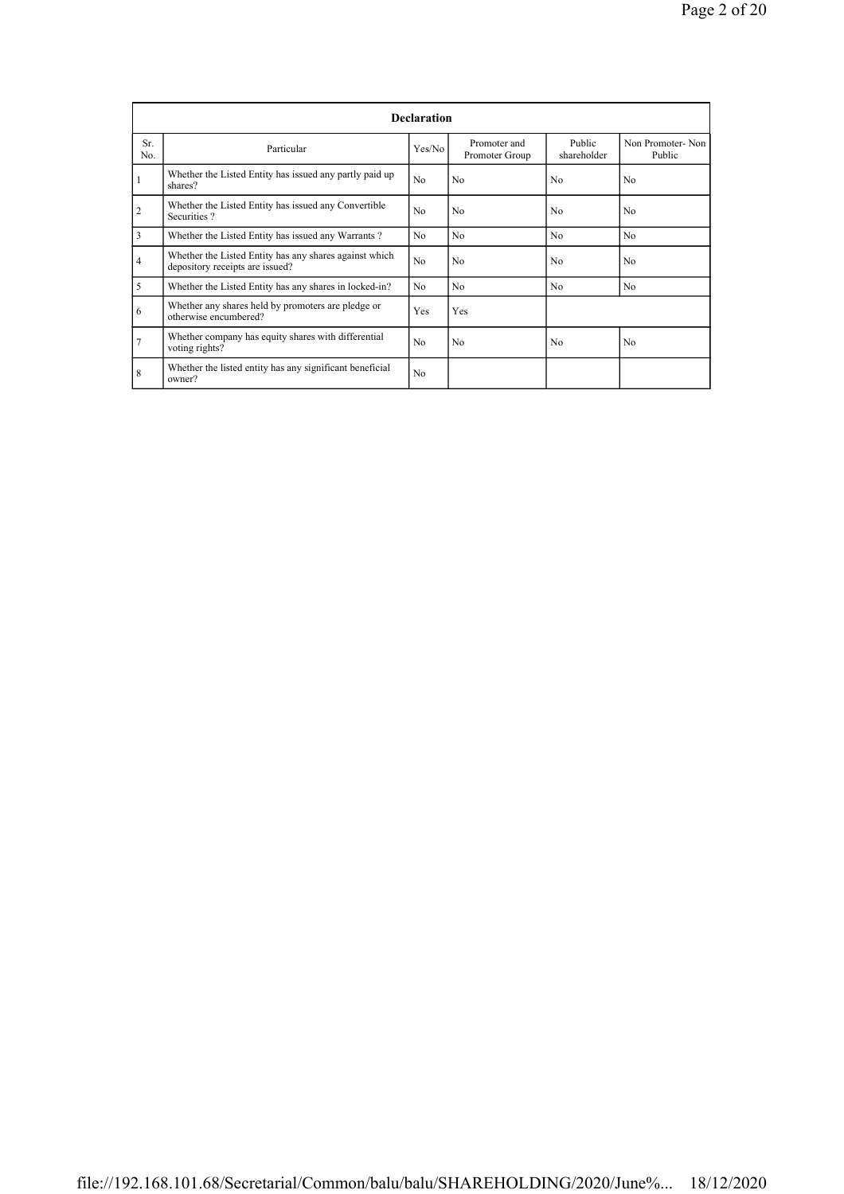|                |                                                                                           | <b>Declaration</b> |                                |                       |                            |
|----------------|-------------------------------------------------------------------------------------------|--------------------|--------------------------------|-----------------------|----------------------------|
| Sr.<br>No.     | Particular                                                                                | Yes/No             | Promoter and<br>Promoter Group | Public<br>shareholder | Non Promoter-Non<br>Public |
|                | Whether the Listed Entity has issued any partly paid up<br>shares?                        | No.                | N <sub>0</sub>                 | No                    | No.                        |
| $\overline{c}$ | Whether the Listed Entity has issued any Convertible<br>Securities?                       | No                 | N <sub>0</sub>                 | No                    | N <sub>0</sub>             |
| 3              | Whether the Listed Entity has issued any Warrants?                                        | N <sub>0</sub>     | N <sub>0</sub>                 | N <sub>0</sub>        | N <sub>0</sub>             |
| $\overline{4}$ | Whether the Listed Entity has any shares against which<br>depository receipts are issued? | No                 | N <sub>0</sub>                 | N <sub>0</sub>        | N <sub>0</sub>             |
| 5              | Whether the Listed Entity has any shares in locked-in?                                    | No                 | N <sub>0</sub>                 | N <sub>0</sub>        | N <sub>0</sub>             |
| 6              | Whether any shares held by promoters are pledge or<br>otherwise encumbered?               | Yes                | Yes                            |                       |                            |
| 7              | Whether company has equity shares with differential<br>voting rights?                     | No                 | N <sub>0</sub>                 | N <sub>0</sub>        | N <sub>0</sub>             |
| 8              | Whether the listed entity has any significant beneficial<br>owner?                        | No                 |                                |                       |                            |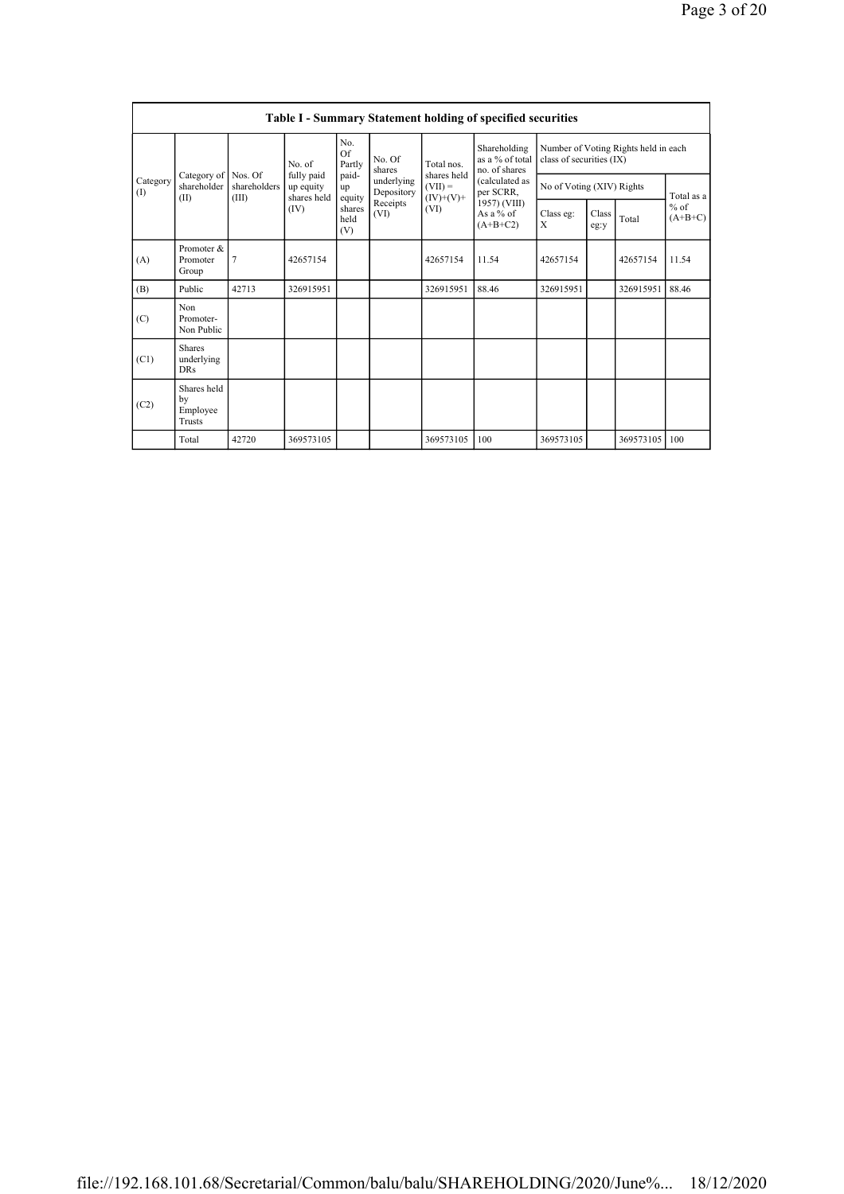|                 |                                           |                       |                                        |                                 |                          |                          | <b>Table I - Summary Statement holding of specified securities</b> |                           |               |                                      |                                                     |
|-----------------|-------------------------------------------|-----------------------|----------------------------------------|---------------------------------|--------------------------|--------------------------|--------------------------------------------------------------------|---------------------------|---------------|--------------------------------------|-----------------------------------------------------|
|                 |                                           |                       | No. of                                 | No.<br>Of<br>Partly             | No. Of<br>shares         | Total nos.               | Shareholding<br>as a % of total<br>no. of shares                   | class of securities (IX)  |               | Number of Voting Rights held in each |                                                     |
| Category<br>(1) | Category of Nos. Of<br>shareholder        | shareholders<br>(III) | fully paid<br>up equity<br>shares held | paid-<br>up                     | underlying<br>Depository | shares held<br>$(VII) =$ | (calculated as<br>per SCRR.                                        | No of Voting (XIV) Rights |               |                                      | Total as a<br>$%$ of<br>$(A+B+C)$<br>11.54<br>88.46 |
|                 | (II)                                      |                       | (IV)                                   | equity<br>shares<br>held<br>(V) | Receipts<br>(VI)         | $(IV)+(V)+$<br>(VI)      | 1957) (VIII)<br>As $a\%$ of<br>$(A+B+C2)$                          | Class eg:<br>X            | Class<br>eg:y | Total                                |                                                     |
| (A)             | Promoter &<br>Promoter<br>Group           | $\overline{7}$        | 42657154                               |                                 |                          | 42657154                 | 11.54                                                              | 42657154                  |               | 42657154                             |                                                     |
| (B)             | Public                                    | 42713                 | 326915951                              |                                 |                          | 326915951                | 88.46                                                              | 326915951                 |               | 326915951                            |                                                     |
| (C)             | Non<br>Promoter-<br>Non Public            |                       |                                        |                                 |                          |                          |                                                                    |                           |               |                                      |                                                     |
| (C1)            | <b>Shares</b><br>underlying<br><b>DRs</b> |                       |                                        |                                 |                          |                          |                                                                    |                           |               |                                      |                                                     |
| (C2)            | Shares held<br>by<br>Employee<br>Trusts   |                       |                                        |                                 |                          |                          |                                                                    |                           |               |                                      |                                                     |
|                 | Total                                     | 42720                 | 369573105                              |                                 |                          | 369573105                | 100                                                                | 369573105                 |               | 369573105                            | 100                                                 |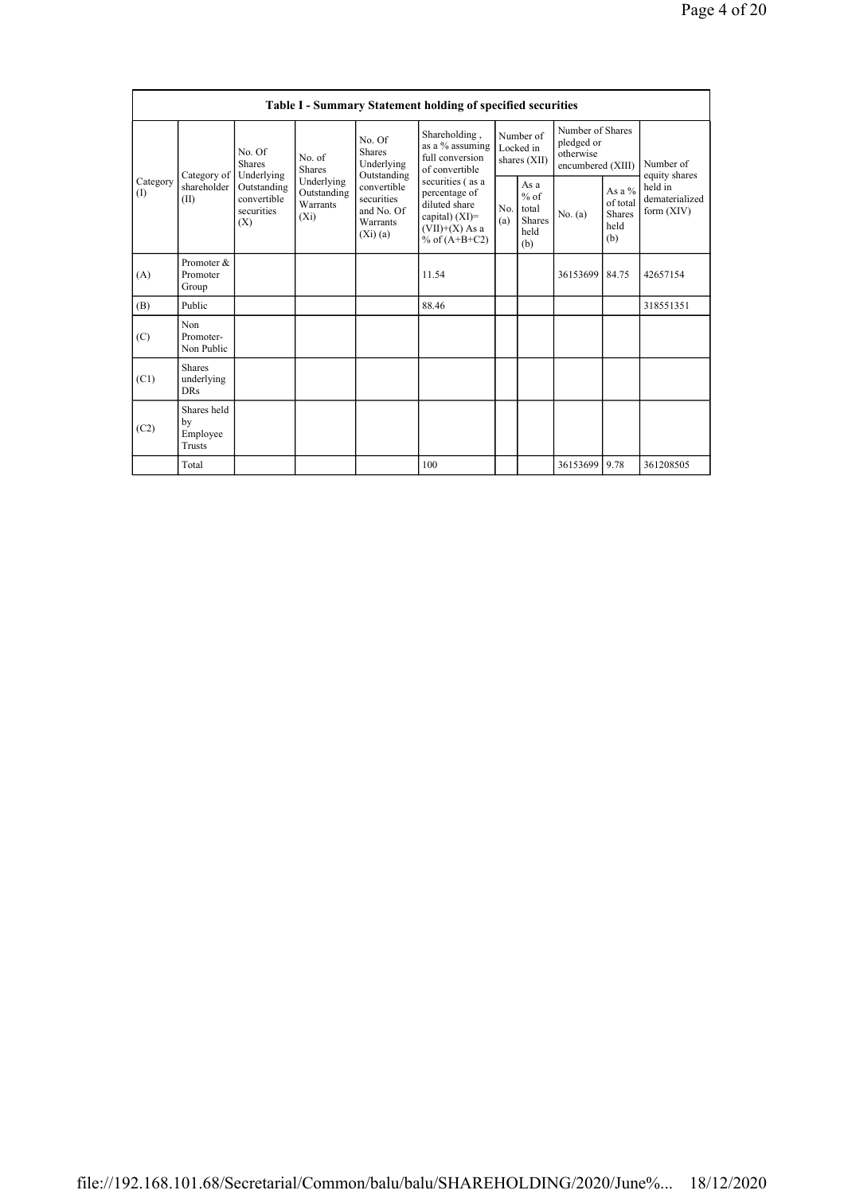|                 |                                           |                                                               |                                                  |                                                                | <b>Table I - Summary Statement holding of specified securities</b>                                            |                                        |                                                  |                                                                  |                                                                                                                         |                            |  |
|-----------------|-------------------------------------------|---------------------------------------------------------------|--------------------------------------------------|----------------------------------------------------------------|---------------------------------------------------------------------------------------------------------------|----------------------------------------|--------------------------------------------------|------------------------------------------------------------------|-------------------------------------------------------------------------------------------------------------------------|----------------------------|--|
|                 |                                           | No. Of<br><b>Shares</b>                                       | No. of<br><b>Shares</b>                          | No. Of<br><b>Shares</b><br>Underlying<br>Outstanding           | Shareholding,<br>as a % assuming<br>full conversion<br>of convertible                                         | Number of<br>Locked in<br>shares (XII) |                                                  | Number of Shares<br>pledged or<br>otherwise<br>encumbered (XIII) |                                                                                                                         | Number of<br>equity shares |  |
| Category<br>(I) | Category of<br>shareholder<br>(II)        | Underlying<br>Outstanding<br>convertible<br>securities<br>(X) | Underlying<br>Outstanding<br>Warrants<br>$(X_i)$ | convertible<br>securities<br>and No. Of<br>Warrants<br>(Xi)(a) | securities (as a<br>percentage of<br>diluted share<br>capital) $(XI)=$<br>$(VII)+(X)$ As a<br>% of $(A+B+C2)$ | No.<br>(a)                             | As a<br>$%$ of<br>total<br>Shares<br>held<br>(b) | No. $(a)$                                                        | held in<br>As a $\%$<br>dematerialized<br>of total<br>form $(XIV)$<br><b>Shares</b><br>held<br>(b)<br>84.75<br>42657154 |                            |  |
| (A)             | Promoter &<br>Promoter<br>Group           |                                                               |                                                  |                                                                | 11.54                                                                                                         |                                        |                                                  | 36153699                                                         |                                                                                                                         |                            |  |
| (B)             | Public                                    |                                                               |                                                  |                                                                | 88.46                                                                                                         |                                        |                                                  |                                                                  |                                                                                                                         | 318551351                  |  |
| (C)             | Non<br>Promoter-<br>Non Public            |                                                               |                                                  |                                                                |                                                                                                               |                                        |                                                  |                                                                  |                                                                                                                         |                            |  |
| (C1)            | <b>Shares</b><br>underlying<br><b>DRs</b> |                                                               |                                                  |                                                                |                                                                                                               |                                        |                                                  |                                                                  |                                                                                                                         |                            |  |
| (C2)            | Shares held<br>by<br>Employee<br>Trusts   |                                                               |                                                  |                                                                |                                                                                                               |                                        |                                                  |                                                                  |                                                                                                                         |                            |  |
|                 | Total                                     |                                                               |                                                  |                                                                | 100                                                                                                           |                                        |                                                  | 36153699                                                         | 9.78                                                                                                                    | 361208505                  |  |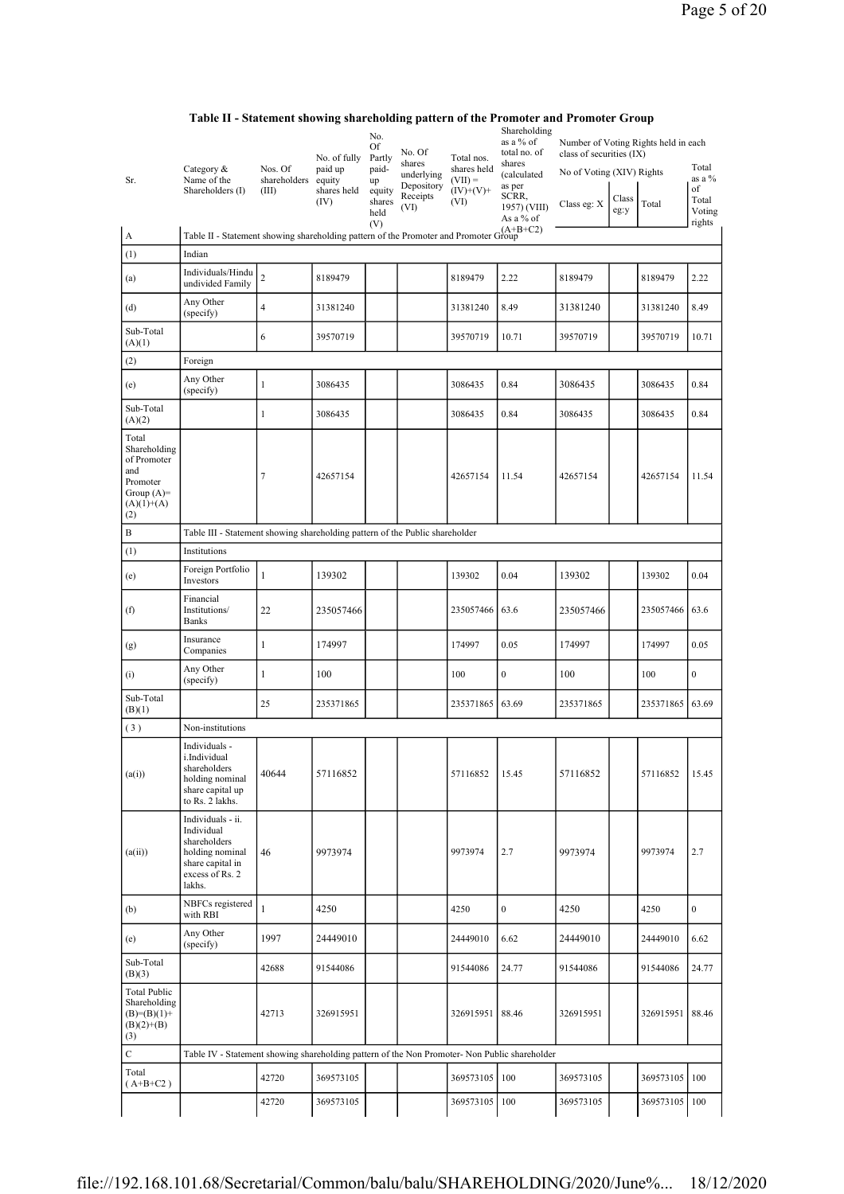| Sr.                                                                                            | Category &<br>Name of the<br>Shareholders (I)                                                                       | Nos. Of<br>shareholders<br>(III) | No. of fully<br>paid up<br>equity<br>shares held | No.<br>Of<br>Partly<br>paid-<br>up<br>equity | No. Of<br>shares<br>underlying<br>Depository | Total nos.<br>shares held<br>$(VII) =$<br>$(IV)+(V)+$ | Shareholding<br>as a % of<br>total no. of<br>shares<br>(calculated<br>as per | Number of Voting Rights held in each<br>class of securities (IX)<br>No of Voting (XIV) Rights |               |               | Total<br>as a %<br>of     |
|------------------------------------------------------------------------------------------------|---------------------------------------------------------------------------------------------------------------------|----------------------------------|--------------------------------------------------|----------------------------------------------|----------------------------------------------|-------------------------------------------------------|------------------------------------------------------------------------------|-----------------------------------------------------------------------------------------------|---------------|---------------|---------------------------|
|                                                                                                |                                                                                                                     |                                  | (IV)                                             | shares<br>held<br>(V)                        | Receipts<br>(VI)                             | (VI)                                                  | SCRR,<br>1957) (VIII)<br>As a % of                                           | Class eg: X                                                                                   | Class<br>eg:y | Total         | Total<br>Voting<br>rights |
| A                                                                                              | Table II - Statement showing shareholding pattern of the Promoter and Promoter Group                                |                                  |                                                  |                                              |                                              |                                                       |                                                                              |                                                                                               |               |               |                           |
| (1)                                                                                            | Indian                                                                                                              |                                  |                                                  |                                              |                                              |                                                       |                                                                              |                                                                                               |               |               |                           |
| (a)                                                                                            | Individuals/Hindu<br>undivided Family                                                                               | $\overline{c}$                   | 8189479                                          |                                              |                                              | 8189479                                               | 2.22                                                                         | 8189479                                                                                       |               | 8189479       | 2.22                      |
| (d)                                                                                            | Any Other<br>(specify)                                                                                              | $\overline{4}$                   | 31381240                                         |                                              |                                              | 31381240                                              | 8.49                                                                         | 31381240                                                                                      |               | 31381240      | 8.49                      |
| Sub-Total<br>(A)(1)                                                                            |                                                                                                                     | 6                                | 39570719                                         |                                              |                                              | 39570719                                              | 10.71                                                                        | 39570719                                                                                      |               | 39570719      | 10.71                     |
| (2)                                                                                            | Foreign                                                                                                             |                                  |                                                  |                                              |                                              |                                                       |                                                                              |                                                                                               |               |               |                           |
| (e)                                                                                            | Any Other<br>(specify)                                                                                              | $\mathbf{1}$                     | 3086435                                          |                                              |                                              | 3086435                                               | 0.84                                                                         | 3086435                                                                                       |               | 3086435       | 0.84                      |
| Sub-Total<br>(A)(2)                                                                            |                                                                                                                     | 1                                | 3086435                                          |                                              |                                              | 3086435                                               | 0.84                                                                         | 3086435                                                                                       |               | 3086435       | 0.84                      |
| Total<br>Shareholding<br>of Promoter<br>and<br>Promoter<br>Group $(A)=$<br>$(A)(1)+(A)$<br>(2) |                                                                                                                     | $\tau$                           | 42657154                                         |                                              |                                              | 42657154                                              | 11.54                                                                        | 42657154                                                                                      |               | 42657154      | 11.54                     |
| B                                                                                              | Table III - Statement showing shareholding pattern of the Public shareholder                                        |                                  |                                                  |                                              |                                              |                                                       |                                                                              |                                                                                               |               |               |                           |
| (1)                                                                                            | Institutions                                                                                                        |                                  |                                                  |                                              |                                              |                                                       |                                                                              |                                                                                               |               |               |                           |
| (e)                                                                                            | Foreign Portfolio<br>Investors                                                                                      | $\mathbf{1}$                     | 139302                                           |                                              |                                              | 139302                                                | 0.04                                                                         | 139302                                                                                        |               | 139302        | 0.04                      |
| (f)                                                                                            | Financial<br>Institutions/<br><b>Banks</b>                                                                          | 22                               | 235057466                                        |                                              |                                              | 235057466                                             | 63.6                                                                         | 235057466                                                                                     |               | 235057466     | 63.6                      |
| (g)                                                                                            | Insurance<br>Companies                                                                                              | $\mathbf{1}$                     | 174997                                           |                                              |                                              | 174997                                                | 0.05                                                                         | 174997                                                                                        |               | 174997        | 0.05                      |
| (i)                                                                                            | Any Other<br>(specify)                                                                                              | $\mathbf{1}$                     | 100                                              |                                              |                                              | 100                                                   | $\boldsymbol{0}$                                                             | 100                                                                                           |               | 100           | $\boldsymbol{0}$          |
| Sub-Total<br>(B)(1)                                                                            |                                                                                                                     | 25                               | 235371865                                        |                                              |                                              | 235371865                                             | 63.69                                                                        | 235371865                                                                                     |               | 235371865     | 63.69                     |
| (3)                                                                                            | Non-institutions                                                                                                    |                                  |                                                  |                                              |                                              |                                                       |                                                                              |                                                                                               |               |               |                           |
| (a(i))                                                                                         | Individuals -<br>i.Individual<br>shareholders<br>holding nominal<br>share capital up<br>to Rs. 2 lakhs.             | 40644                            | 57116852                                         |                                              |                                              | 57116852                                              | 15.45                                                                        | 57116852                                                                                      |               | 57116852      | 15.45                     |
| (a(ii))                                                                                        | Individuals - ii.<br>Individual<br>shareholders<br>holding nominal<br>share capital in<br>excess of Rs. 2<br>lakhs. | 46                               | 9973974                                          |                                              |                                              | 9973974                                               | 2.7                                                                          | 9973974                                                                                       |               | 9973974       | 2.7                       |
| (b)                                                                                            | NBFCs registered<br>with RBI                                                                                        | $\mathbf{1}$                     | 4250                                             |                                              |                                              | 4250                                                  | $\boldsymbol{0}$                                                             | 4250                                                                                          |               | 4250          | $\boldsymbol{0}$          |
| (e)                                                                                            | Any Other<br>(specify)                                                                                              | 1997                             | 24449010                                         |                                              |                                              | 24449010                                              | 6.62                                                                         | 24449010                                                                                      |               | 24449010      | 6.62                      |
| Sub-Total<br>(B)(3)                                                                            |                                                                                                                     | 42688                            | 91544086                                         |                                              |                                              | 91544086                                              | 24.77                                                                        | 91544086                                                                                      |               | 91544086      | 24.77                     |
| <b>Total Public</b><br>Shareholding<br>$(B)= (B)(1) +$<br>$(B)(2)+(B)$<br>(3)                  |                                                                                                                     | 42713                            | 326915951                                        |                                              |                                              | 326915951                                             | 88.46                                                                        | 326915951                                                                                     |               | 326915951     | 88.46                     |
| $\mathbf C$                                                                                    | Table IV - Statement showing shareholding pattern of the Non Promoter- Non Public shareholder                       |                                  |                                                  |                                              |                                              |                                                       |                                                                              |                                                                                               |               |               |                           |
| Total<br>$(A+B+C2)$                                                                            |                                                                                                                     | 42720                            | 369573105                                        |                                              |                                              | 369573105 100                                         |                                                                              | 369573105                                                                                     |               | 369573105 100 |                           |
|                                                                                                |                                                                                                                     | 42720                            | 369573105                                        |                                              |                                              | 369573105 100                                         |                                                                              | 369573105                                                                                     |               | 369573105 100 |                           |

## Table II - Statement showing shareholding pattern of the Promoter and Promoter Group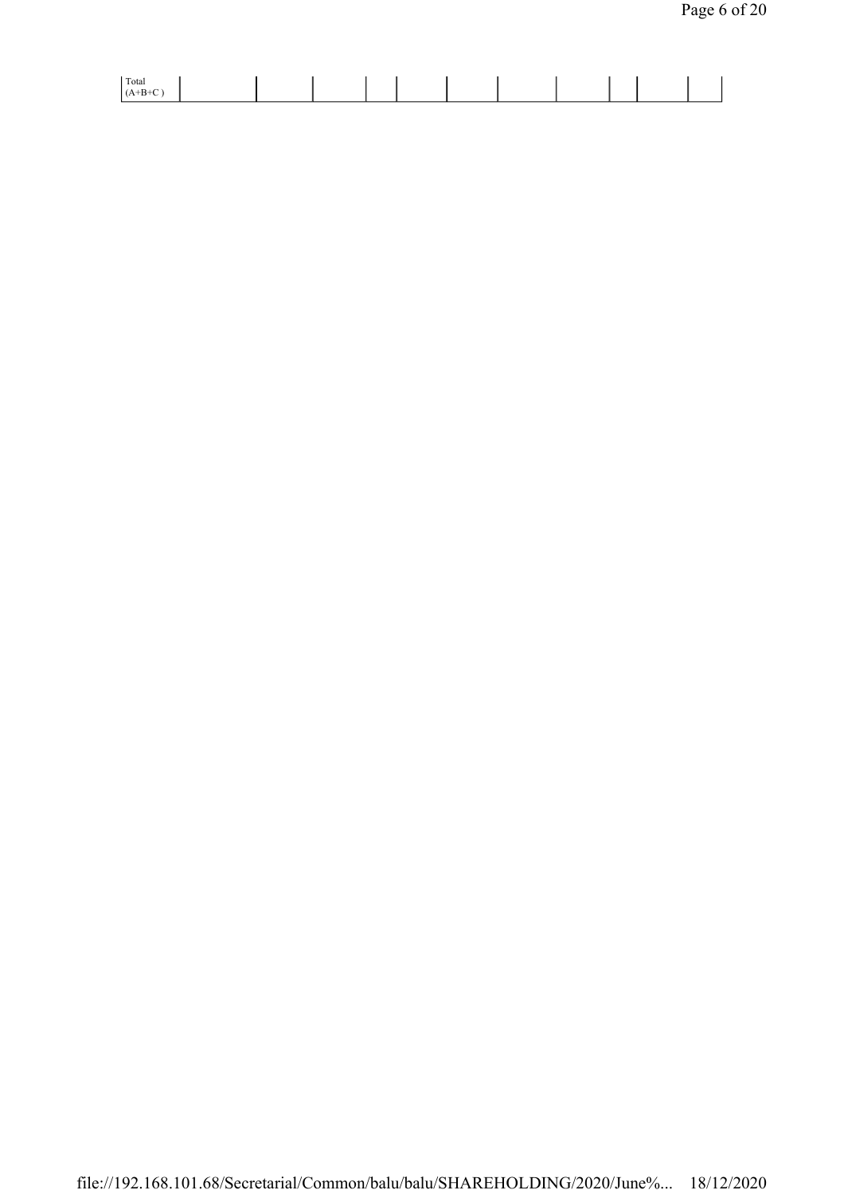| Total |  |  |  |  |  |  |
|-------|--|--|--|--|--|--|
|       |  |  |  |  |  |  |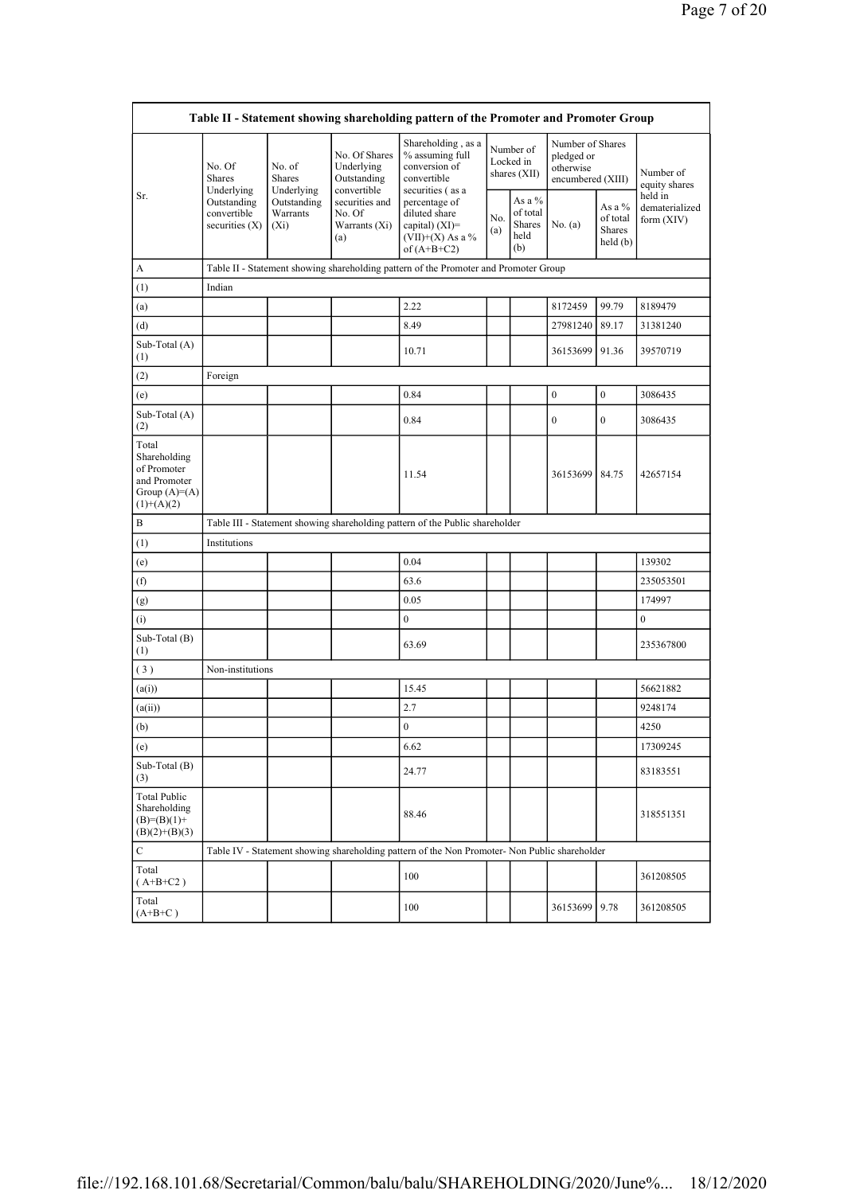|                                                                                        |                                                |                                       |                                                           | Table II - Statement showing shareholding pattern of the Promoter and Promoter Group                     |  |                                             |                                                                  |                                                  |                                         |
|----------------------------------------------------------------------------------------|------------------------------------------------|---------------------------------------|-----------------------------------------------------------|----------------------------------------------------------------------------------------------------------|--|---------------------------------------------|------------------------------------------------------------------|--------------------------------------------------|-----------------------------------------|
|                                                                                        | No. Of<br>Shares<br>Underlying                 | No. of<br><b>Shares</b><br>Underlying | No. Of Shares<br>Underlying<br>Outstanding<br>convertible | Shareholding, as a<br>% assuming full<br>conversion of<br>convertible<br>securities (as a                |  | Number of<br>Locked in<br>shares (XII)      | Number of Shares<br>pledged or<br>otherwise<br>encumbered (XIII) |                                                  | Number of<br>equity shares              |
| Sr.                                                                                    | Outstanding<br>convertible<br>securities $(X)$ | Outstanding<br>Warrants<br>$(X_i)$    | securities and<br>No. Of<br>Warrants (Xi)<br>(a)          | percentage of<br>diluted share<br>No.<br>capital) $(XI)$ =<br>(a)<br>$(VII)+(X)$ As a %<br>of $(A+B+C2)$ |  | As a %<br>of total<br>Shares<br>held<br>(b) | No. (a)                                                          | As a $%$<br>of total<br><b>Shares</b><br>held(b) | held in<br>dematerialized<br>form (XIV) |
| A                                                                                      |                                                |                                       |                                                           | Table II - Statement showing shareholding pattern of the Promoter and Promoter Group                     |  |                                             |                                                                  |                                                  |                                         |
| (1)                                                                                    | Indian                                         |                                       |                                                           |                                                                                                          |  |                                             |                                                                  |                                                  |                                         |
| (a)                                                                                    |                                                |                                       |                                                           | 2.22                                                                                                     |  |                                             | 8172459                                                          | 99.79                                            | 8189479                                 |
| (d)                                                                                    |                                                |                                       |                                                           | 8.49                                                                                                     |  |                                             | 27981240                                                         | 89.17                                            | 31381240                                |
| Sub-Total (A)<br>(1)                                                                   |                                                |                                       |                                                           | 10.71                                                                                                    |  |                                             | 36153699                                                         | 91.36                                            | 39570719                                |
| (2)                                                                                    | Foreign                                        |                                       |                                                           |                                                                                                          |  |                                             |                                                                  |                                                  |                                         |
| (e)                                                                                    |                                                |                                       |                                                           | 0.84                                                                                                     |  |                                             | $\boldsymbol{0}$                                                 | $\boldsymbol{0}$                                 | 3086435                                 |
| Sub-Total $(A)$<br>(2)                                                                 |                                                |                                       |                                                           | 0.84                                                                                                     |  |                                             | $\mathbf{0}$                                                     | $\mathbf{0}$                                     | 3086435                                 |
| Total<br>Shareholding<br>of Promoter<br>and Promoter<br>Group $(A)=A)$<br>$(1)+(A)(2)$ |                                                |                                       |                                                           | 11.54                                                                                                    |  |                                             | 36153699 84.75                                                   |                                                  | 42657154                                |
| B                                                                                      |                                                |                                       |                                                           | Table III - Statement showing shareholding pattern of the Public shareholder                             |  |                                             |                                                                  |                                                  |                                         |
| (1)                                                                                    | Institutions                                   |                                       |                                                           |                                                                                                          |  |                                             |                                                                  |                                                  |                                         |
| (e)                                                                                    |                                                |                                       |                                                           | 0.04                                                                                                     |  |                                             |                                                                  |                                                  | 139302                                  |
| (f)                                                                                    |                                                |                                       |                                                           | 63.6                                                                                                     |  |                                             |                                                                  |                                                  | 235053501                               |
| (g)                                                                                    |                                                |                                       |                                                           | 0.05                                                                                                     |  |                                             |                                                                  |                                                  | 174997                                  |
| (i)                                                                                    |                                                |                                       |                                                           | $\boldsymbol{0}$                                                                                         |  |                                             |                                                                  |                                                  | $\mathbf{0}$                            |
| Sub-Total (B)<br>(1)                                                                   |                                                |                                       |                                                           | 63.69                                                                                                    |  |                                             |                                                                  |                                                  | 235367800                               |
| (3)                                                                                    | Non-institutions                               |                                       |                                                           |                                                                                                          |  |                                             |                                                                  |                                                  |                                         |
| (a(i))                                                                                 |                                                |                                       |                                                           | 15.45                                                                                                    |  |                                             |                                                                  |                                                  | 56621882                                |
| (a(ii))                                                                                |                                                |                                       |                                                           | 2.7                                                                                                      |  |                                             |                                                                  |                                                  | 9248174                                 |
| (b)                                                                                    |                                                |                                       |                                                           | $\boldsymbol{0}$                                                                                         |  |                                             |                                                                  |                                                  | 4250                                    |
| (e)                                                                                    |                                                |                                       |                                                           | 6.62                                                                                                     |  |                                             |                                                                  |                                                  | 17309245                                |
| Sub-Total (B)<br>(3)                                                                   |                                                |                                       |                                                           | 24.77                                                                                                    |  |                                             |                                                                  |                                                  | 83183551                                |
| <b>Total Public</b><br>Shareholding<br>$(B)= (B)(1) +$<br>$(B)(2)+(B)(3)$              |                                                |                                       |                                                           | 88.46                                                                                                    |  |                                             |                                                                  |                                                  | 318551351                               |
| С                                                                                      |                                                |                                       |                                                           | Table IV - Statement showing shareholding pattern of the Non Promoter- Non Public shareholder            |  |                                             |                                                                  |                                                  |                                         |
| Total<br>$(A+B+C2)$                                                                    |                                                |                                       |                                                           | 100                                                                                                      |  |                                             |                                                                  |                                                  | 361208505                               |
| Total<br>$(A+B+C)$                                                                     |                                                |                                       |                                                           | 100                                                                                                      |  |                                             | 36153699                                                         | 9.78                                             | 361208505                               |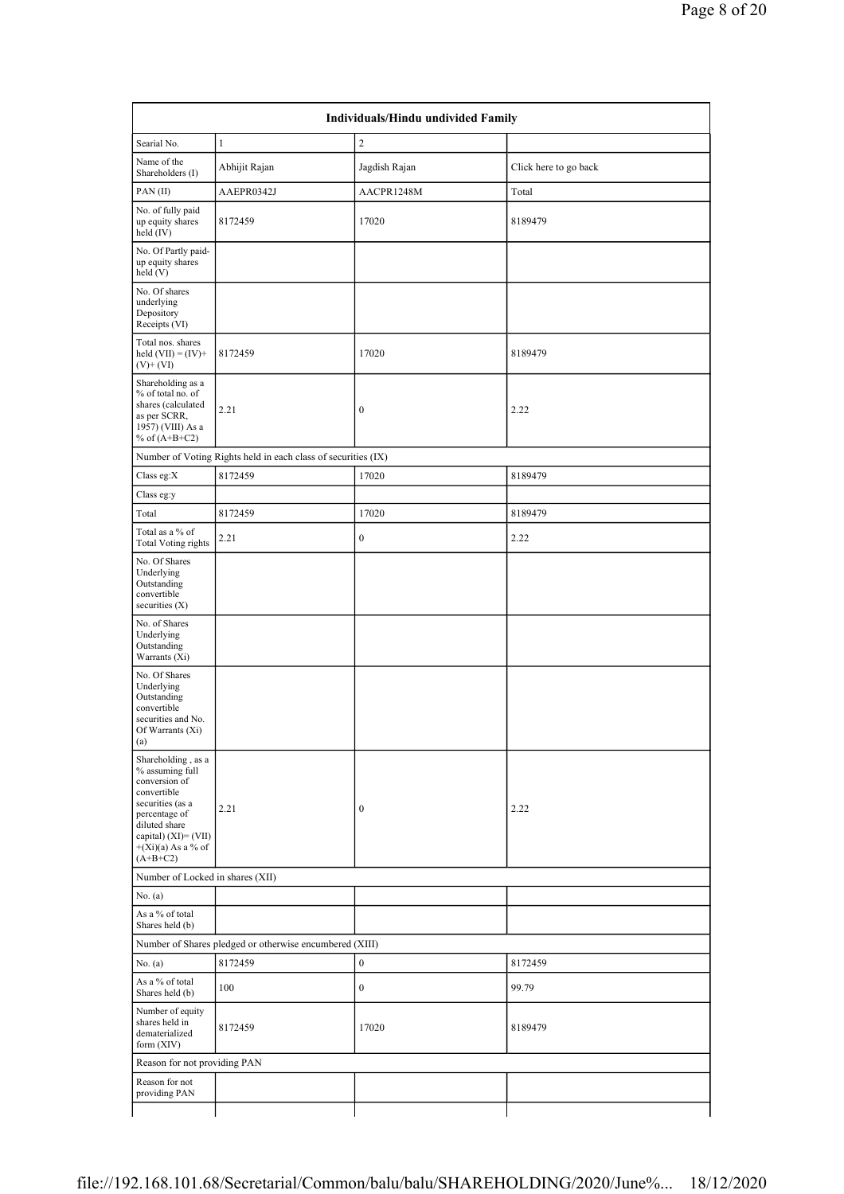|                                                                                                                                                                                           |                                                               | Individuals/Hindu undivided Family |                       |  |
|-------------------------------------------------------------------------------------------------------------------------------------------------------------------------------------------|---------------------------------------------------------------|------------------------------------|-----------------------|--|
| Searial No.                                                                                                                                                                               | $1\,$                                                         | $\overline{c}$                     |                       |  |
| Name of the<br>Shareholders (I)                                                                                                                                                           | Abhijit Rajan                                                 | Jagdish Rajan                      | Click here to go back |  |
| PAN(II)                                                                                                                                                                                   | AAEPR0342J                                                    | AACPR1248M                         | Total                 |  |
| No. of fully paid<br>up equity shares<br>held (IV)                                                                                                                                        | 8172459                                                       | 17020                              | 8189479               |  |
| No. Of Partly paid-<br>up equity shares<br>held (V)                                                                                                                                       |                                                               |                                    |                       |  |
| No. Of shares<br>underlying<br>Depository<br>Receipts (VI)                                                                                                                                |                                                               |                                    |                       |  |
| Total nos. shares<br>held $(VII) = (IV) +$<br>$(V)$ + $(VI)$                                                                                                                              | 8172459                                                       | 17020                              | 8189479               |  |
| Shareholding as a<br>% of total no. of<br>shares (calculated<br>as per SCRR,<br>1957) (VIII) As a<br>% of $(A+B+C2)$                                                                      | 2.21                                                          | $\boldsymbol{0}$                   | 2.22                  |  |
|                                                                                                                                                                                           | Number of Voting Rights held in each class of securities (IX) |                                    |                       |  |
| Class eg:X                                                                                                                                                                                | 8172459                                                       | 17020                              | 8189479               |  |
| Class eg:y                                                                                                                                                                                |                                                               |                                    |                       |  |
| Total                                                                                                                                                                                     | 8172459                                                       | 17020                              | 8189479               |  |
| Total as a % of<br><b>Total Voting rights</b>                                                                                                                                             | 2.21                                                          | $\boldsymbol{0}$                   | 2.22                  |  |
| No. Of Shares<br>Underlying<br>Outstanding<br>convertible<br>securities $(X)$                                                                                                             |                                                               |                                    |                       |  |
| No. of Shares<br>Underlying<br>Outstanding<br>Warrants (Xi)                                                                                                                               |                                                               |                                    |                       |  |
| No. Of Shares<br>Underlying<br>Outstanding<br>convertible<br>securities and No.<br>Of Warrants (Xi)<br>(a)                                                                                |                                                               |                                    |                       |  |
| Shareholding, as a<br>% assuming full<br>conversion of<br>convertible<br>securities (as a<br>percentage of<br>diluted share<br>capital) (XI)= (VII)<br>$+(Xi)(a)$ As a % of<br>$(A+B+C2)$ | 2.21                                                          | $\mathbf{0}$                       | 2.22                  |  |
| Number of Locked in shares (XII)                                                                                                                                                          |                                                               |                                    |                       |  |
| No. (a)                                                                                                                                                                                   |                                                               |                                    |                       |  |
| As a % of total<br>Shares held (b)                                                                                                                                                        |                                                               |                                    |                       |  |
|                                                                                                                                                                                           | Number of Shares pledged or otherwise encumbered (XIII)       |                                    |                       |  |
| No. (a)                                                                                                                                                                                   | 8172459                                                       | $\boldsymbol{0}$                   | 8172459               |  |
| As a % of total<br>Shares held (b)                                                                                                                                                        | 100                                                           | $\mathbf{0}$                       | 99.79                 |  |
| Number of equity<br>shares held in<br>dematerialized<br>form (XIV)                                                                                                                        | 8172459                                                       | 17020                              | 8189479               |  |
| Reason for not providing PAN                                                                                                                                                              |                                                               |                                    |                       |  |
| Reason for not<br>providing PAN                                                                                                                                                           |                                                               |                                    |                       |  |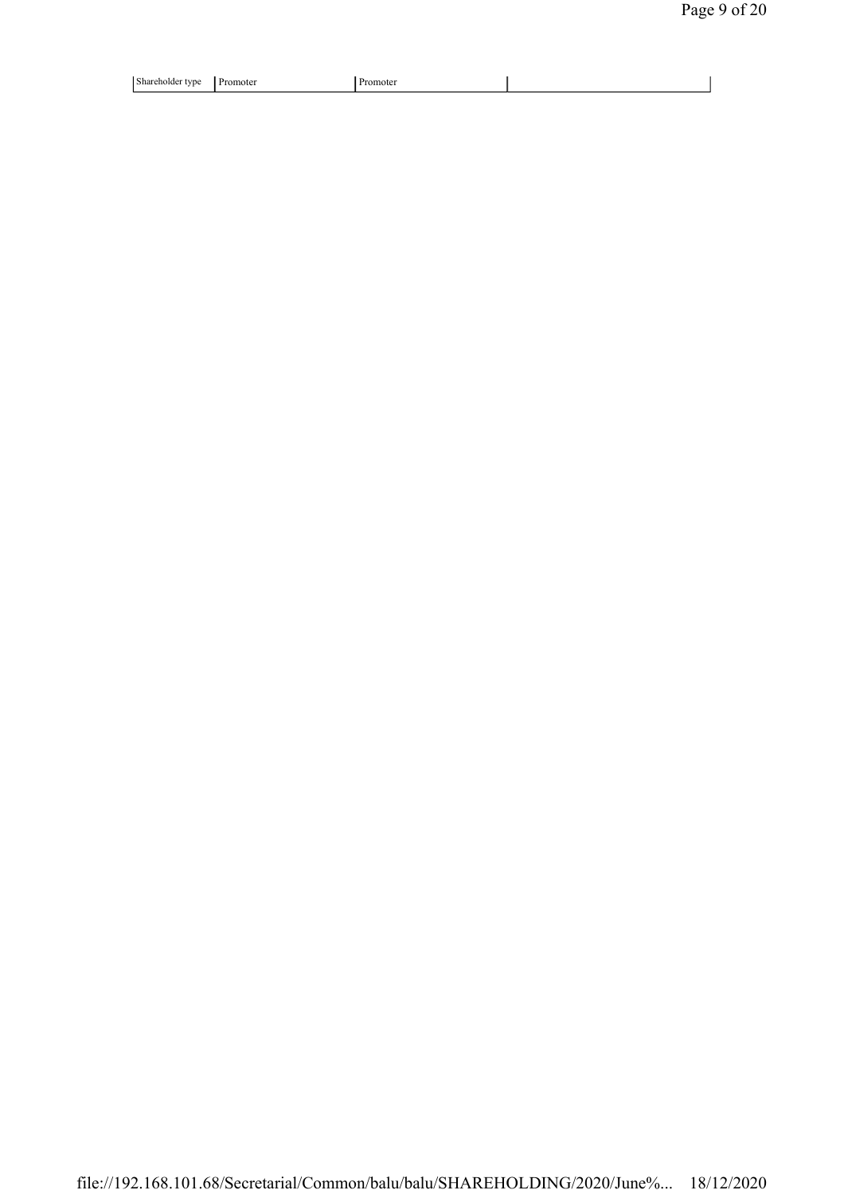| Shar.<br>™enoide∟<br>rvn.<br>. . | moter<br>--- | пон<br> |  |
|----------------------------------|--------------|---------|--|
|                                  |              |         |  |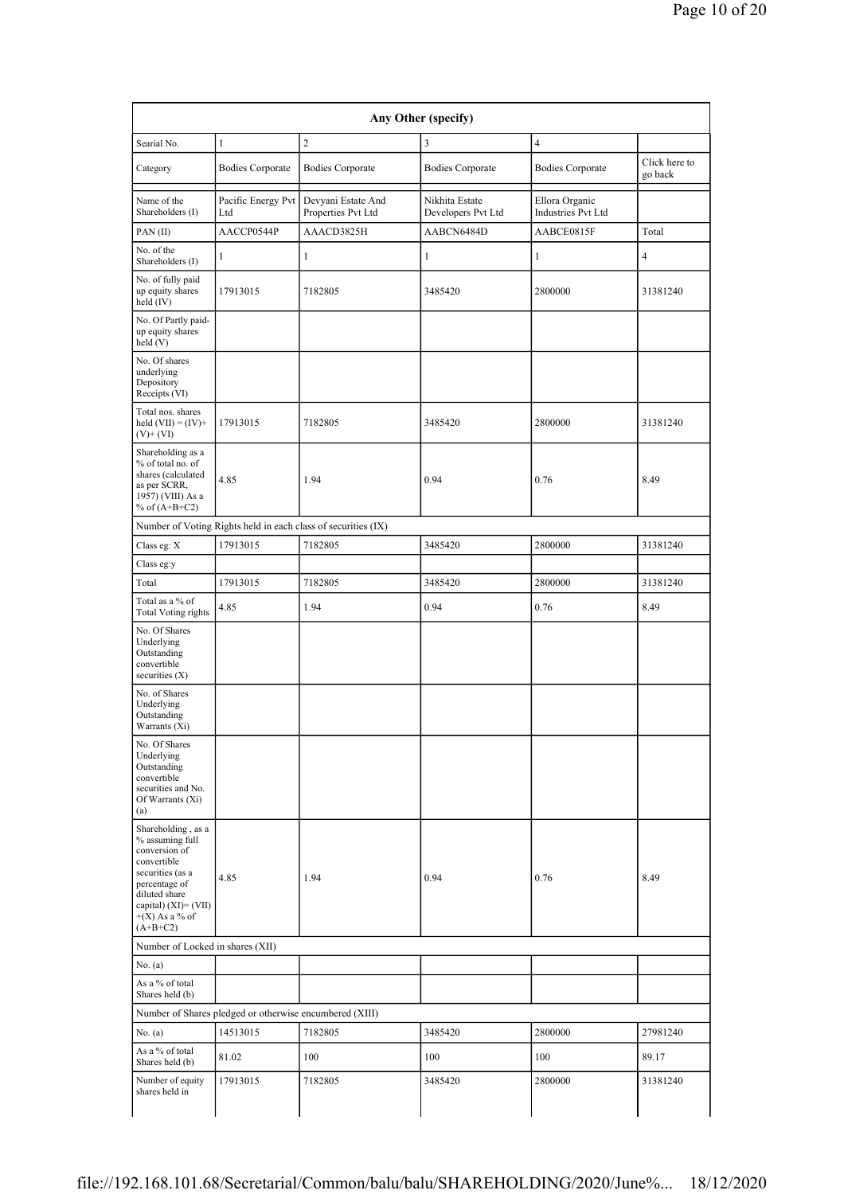| Searial No.                                                                                                                                                                              | $\mathbf{1}$                                            | $\overline{c}$                                                | $\overline{\mathbf{3}}$              | $\overline{4}$                              | Click here to  |
|------------------------------------------------------------------------------------------------------------------------------------------------------------------------------------------|---------------------------------------------------------|---------------------------------------------------------------|--------------------------------------|---------------------------------------------|----------------|
| Category                                                                                                                                                                                 | <b>Bodies Corporate</b>                                 | <b>Bodies Corporate</b>                                       | <b>Bodies Corporate</b>              | <b>Bodies Corporate</b>                     | go back        |
| Name of the<br>Shareholders (I)                                                                                                                                                          | Pacific Energy Pvt<br>Ltd                               | Devyani Estate And<br>Properties Pvt Ltd                      | Nikhita Estate<br>Developers Pvt Ltd | Ellora Organic<br><b>Industries Pvt Ltd</b> |                |
| PAN(II)                                                                                                                                                                                  | AACCP0544P                                              | AAACD3825H                                                    | AABCN6484D                           | AABCE0815F                                  | Total          |
| No. of the<br>Shareholders (I)                                                                                                                                                           | $\mathbf{1}$                                            | 1                                                             | 1                                    | $\mathbf{1}$                                | $\overline{4}$ |
| No. of fully paid<br>up equity shares<br>held (IV)                                                                                                                                       | 17913015                                                | 7182805                                                       | 3485420                              | 2800000                                     | 31381240       |
| No. Of Partly paid-<br>up equity shares<br>held(V)                                                                                                                                       |                                                         |                                                               |                                      |                                             |                |
| No. Of shares<br>underlying<br>Depository<br>Receipts (VI)                                                                                                                               |                                                         |                                                               |                                      |                                             |                |
| Total nos. shares<br>held $(VII) = (IV) +$<br>$(V)$ + $(VI)$                                                                                                                             | 17913015                                                | 7182805                                                       | 3485420                              | 2800000                                     | 31381240       |
| Shareholding as a<br>% of total no. of<br>shares (calculated<br>as per SCRR,<br>1957) (VIII) As a<br>% of $(A+B+C2)$                                                                     | 4.85                                                    | 1.94                                                          | 0.94                                 | 0.76                                        | 8.49           |
|                                                                                                                                                                                          |                                                         | Number of Voting Rights held in each class of securities (IX) |                                      |                                             |                |
| Class eg: X                                                                                                                                                                              | 17913015                                                | 7182805                                                       | 3485420                              | 2800000                                     | 31381240       |
| Class eg:y                                                                                                                                                                               |                                                         |                                                               |                                      |                                             |                |
| Total                                                                                                                                                                                    | 17913015                                                | 7182805                                                       | 3485420                              | 2800000                                     | 31381240       |
| Total as a % of<br><b>Total Voting rights</b>                                                                                                                                            | 4.85                                                    | 1.94                                                          | 0.94                                 | 0.76                                        | 8.49           |
| No. Of Shares<br>Underlying<br>Outstanding<br>convertible<br>securities $(X)$                                                                                                            |                                                         |                                                               |                                      |                                             |                |
| No. of Shares<br>Underlying<br>Outstanding<br>Warrants (Xi)                                                                                                                              |                                                         |                                                               |                                      |                                             |                |
| No. Of Shares<br>Underlying<br>Outstanding<br>convertible<br>securities and No.<br>Of Warrants (Xi)<br>(a)                                                                               |                                                         |                                                               |                                      |                                             |                |
| Shareholding, as a<br>% assuming full<br>conversion of<br>convertible<br>securities (as a<br>percentage of<br>diluted share<br>capital) $(XI) = (VII)$<br>$+(X)$ As a % of<br>$(A+B+C2)$ | 4.85                                                    | 1.94                                                          | 0.94                                 | 0.76                                        | 8.49           |
| Number of Locked in shares (XII)                                                                                                                                                         |                                                         |                                                               |                                      |                                             |                |
| No. (a)                                                                                                                                                                                  |                                                         |                                                               |                                      |                                             |                |
| As a % of total<br>Shares held (b)                                                                                                                                                       |                                                         |                                                               |                                      |                                             |                |
|                                                                                                                                                                                          | Number of Shares pledged or otherwise encumbered (XIII) |                                                               |                                      |                                             |                |
| No. (a)                                                                                                                                                                                  | 14513015                                                | 7182805                                                       | 3485420                              | 2800000                                     | 27981240       |
| As a % of total<br>Shares held (b)                                                                                                                                                       | 81.02                                                   | 100                                                           | 100                                  | 100                                         | 89.17          |
| Number of equity<br>shares held in                                                                                                                                                       | 17913015                                                | 7182805                                                       | 3485420                              | 2800000                                     | 31381240       |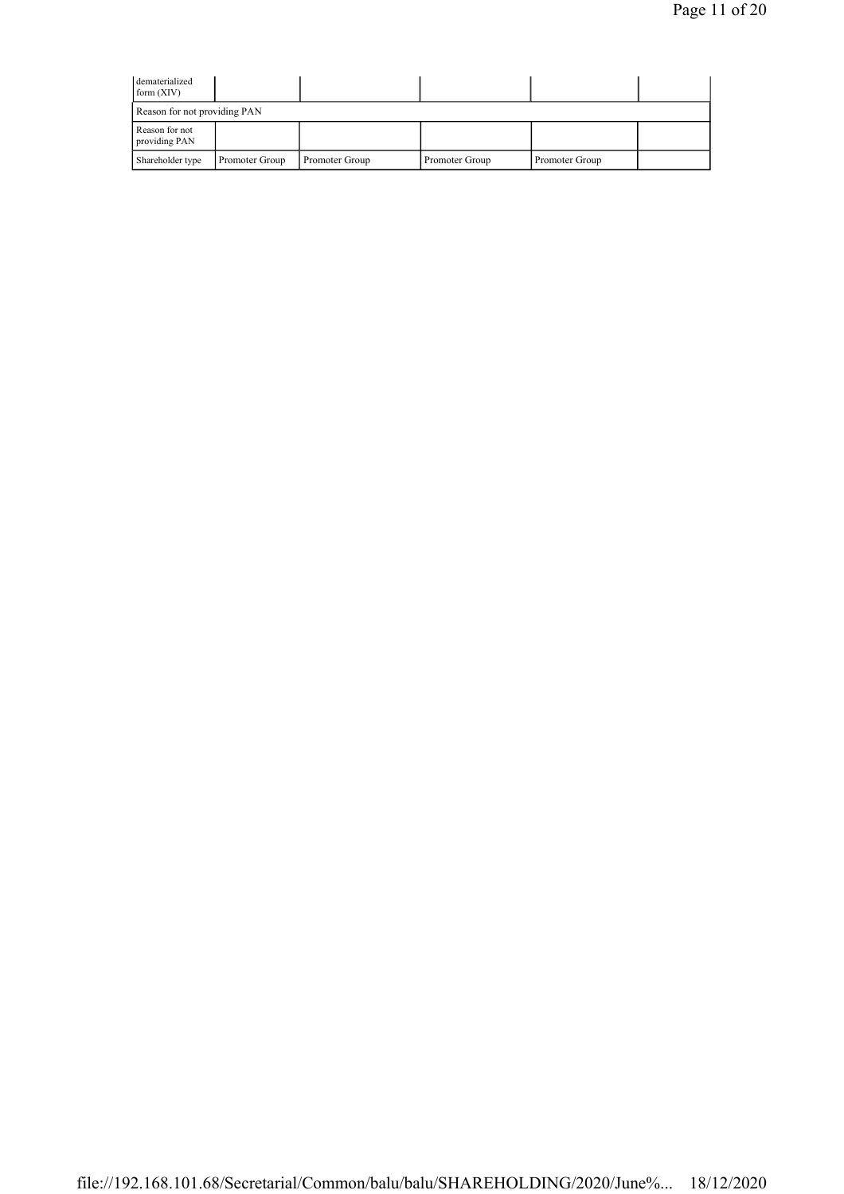| dematerialized<br>form $(XIV)$  |                |                |                |                |  |
|---------------------------------|----------------|----------------|----------------|----------------|--|
| Reason for not providing PAN    |                |                |                |                |  |
| Reason for not<br>providing PAN |                |                |                |                |  |
| Shareholder type                | Promoter Group | Promoter Group | Promoter Group | Promoter Group |  |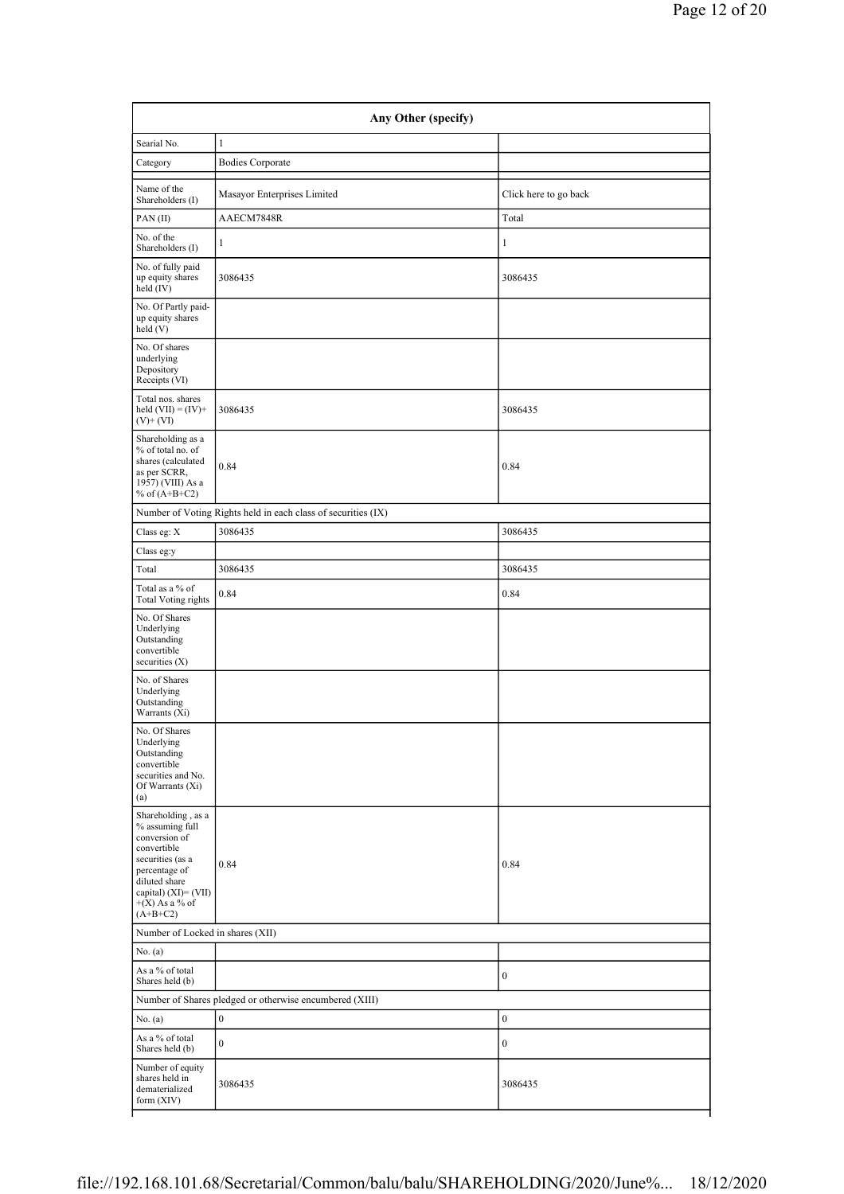| Searial No.                                                                                                                                                                           | $\mathbf{1}$                                                  |                       |  |
|---------------------------------------------------------------------------------------------------------------------------------------------------------------------------------------|---------------------------------------------------------------|-----------------------|--|
| Category                                                                                                                                                                              | <b>Bodies Corporate</b>                                       |                       |  |
| Name of the<br>Shareholders (I)                                                                                                                                                       | Masayor Enterprises Limited                                   | Click here to go back |  |
| PAN(II)                                                                                                                                                                               | AAECM7848R                                                    | Total                 |  |
| No. of the<br>Shareholders (I)                                                                                                                                                        | $\mathbf{1}$                                                  | $\mathbf{1}$          |  |
| No. of fully paid<br>up equity shares<br>held (IV)                                                                                                                                    | 3086435                                                       | 3086435               |  |
| No. Of Partly paid-<br>up equity shares<br>held(V)                                                                                                                                    |                                                               |                       |  |
| No. Of shares<br>underlying<br>Depository<br>Receipts (VI)                                                                                                                            |                                                               |                       |  |
| Total nos. shares<br>held $(VII) = (IV) +$<br>$(V)$ + $(VI)$                                                                                                                          | 3086435                                                       | 3086435               |  |
| Shareholding as a<br>% of total no. of<br>shares (calculated<br>as per SCRR,<br>1957) (VIII) As a<br>% of $(A+B+C2)$                                                                  | 0.84                                                          | 0.84                  |  |
|                                                                                                                                                                                       | Number of Voting Rights held in each class of securities (IX) |                       |  |
| Class eg: X                                                                                                                                                                           | 3086435                                                       | 3086435               |  |
| Class eg:y                                                                                                                                                                            |                                                               |                       |  |
| Total                                                                                                                                                                                 | 3086435                                                       | 3086435               |  |
| Total as a % of<br><b>Total Voting rights</b>                                                                                                                                         | 0.84                                                          | 0.84                  |  |
| No. Of Shares<br>Underlying<br>Outstanding<br>convertible<br>securities $(X)$                                                                                                         |                                                               |                       |  |
| No. of Shares<br>Underlying<br>Outstanding<br>Warrants (Xi)                                                                                                                           |                                                               |                       |  |
| No. Of Shares<br>Underlying<br>Outstanding<br>convertible<br>securities and No.<br>Of Warrants (Xi)<br>(a)                                                                            |                                                               |                       |  |
| Shareholding, as a<br>% assuming full<br>conversion of<br>convertible<br>securities (as a<br>percentage of<br>diluted share<br>capital) (XI)= (VII)<br>$+(X)$ As a % of<br>$(A+B+C2)$ | 0.84                                                          | 0.84                  |  |
| Number of Locked in shares (XII)                                                                                                                                                      |                                                               |                       |  |
| No. (a)                                                                                                                                                                               |                                                               |                       |  |
| As a % of total<br>Shares held (b)                                                                                                                                                    |                                                               | $\mathbf{0}$          |  |
|                                                                                                                                                                                       | Number of Shares pledged or otherwise encumbered (XIII)       |                       |  |
| No. $(a)$                                                                                                                                                                             | $\vert$ 0                                                     | $\boldsymbol{0}$      |  |
| As a % of total<br>Shares held (b)                                                                                                                                                    | $\mathbf{0}$                                                  | $\mathbf{0}$          |  |
| Number of equity<br>shares held in<br>dematerialized<br>form (XIV)                                                                                                                    | 3086435                                                       | 3086435               |  |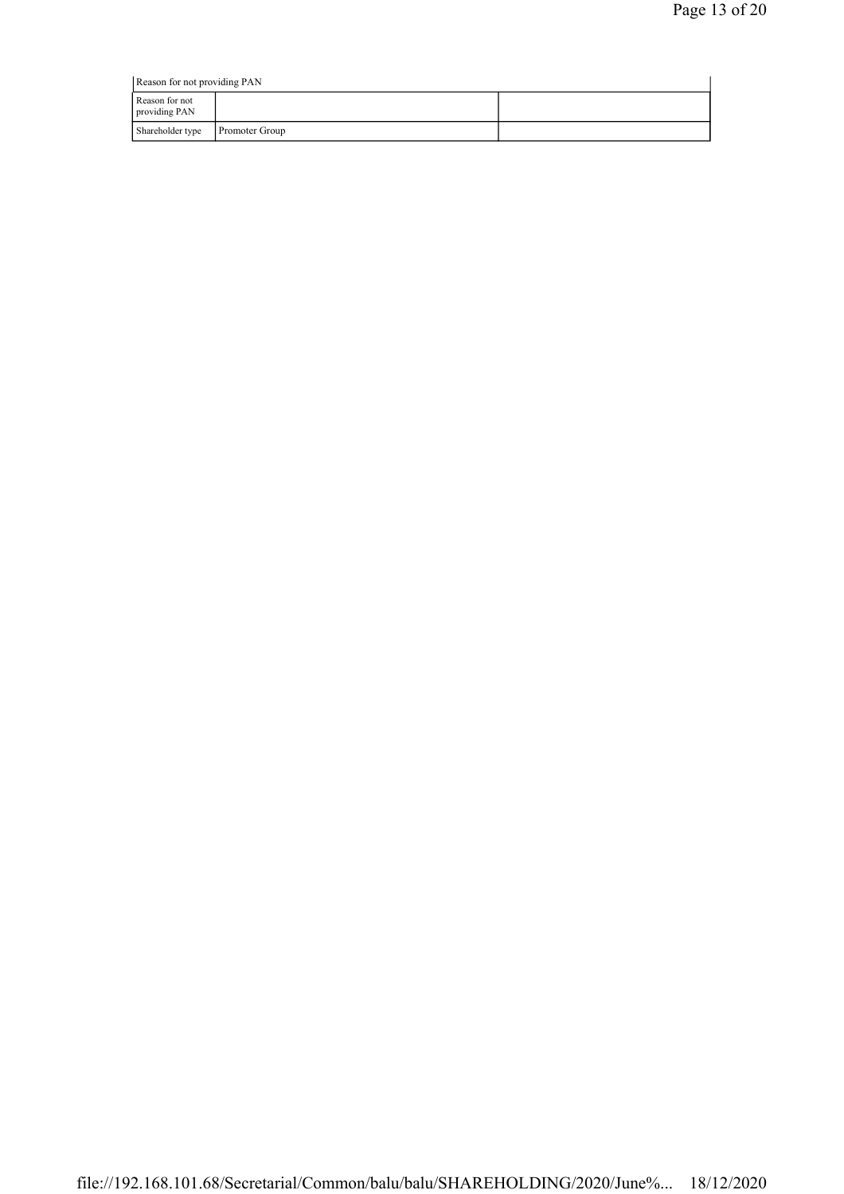| Reason for not providing PAN    |                       |  |  |  |  |  |
|---------------------------------|-----------------------|--|--|--|--|--|
| Reason for not<br>providing PAN |                       |  |  |  |  |  |
| Shareholder type                | <b>Promoter Group</b> |  |  |  |  |  |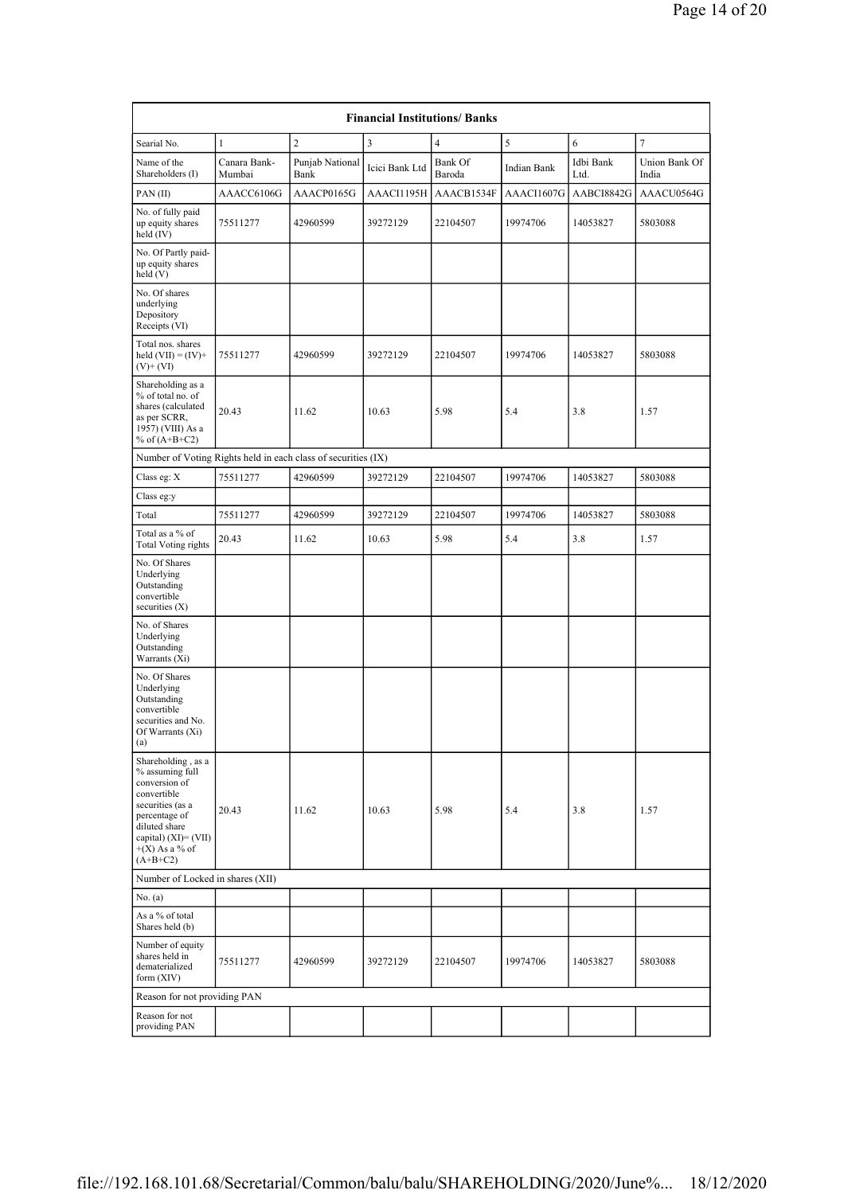| <b>Financial Institutions/ Banks</b>                                                                                                                                                     |                                  |                         |                |                   |             |                   |                        |  |
|------------------------------------------------------------------------------------------------------------------------------------------------------------------------------------------|----------------------------------|-------------------------|----------------|-------------------|-------------|-------------------|------------------------|--|
| Searial No.                                                                                                                                                                              | 1                                | $\overline{c}$          | $\overline{3}$ | $\overline{4}$    | 5           | 6                 | $\overline{7}$         |  |
| Name of the<br>Shareholders (I)                                                                                                                                                          | Canara Bank-<br>Mumbai           | Punjab National<br>Bank | Icici Bank Ltd | Bank Of<br>Baroda | Indian Bank | Idbi Bank<br>Ltd. | Union Bank Of<br>India |  |
| PAN(II)                                                                                                                                                                                  | AAACC6106G                       | AAACP0165G              | AAACI1195H     | AAACB1534F        | AAACI1607G  | AABCI8842G        | AAACU0564G             |  |
| No. of fully paid<br>up equity shares<br>held $(IV)$                                                                                                                                     | 75511277                         | 42960599                | 39272129       | 22104507          | 19974706    | 14053827          | 5803088                |  |
| No. Of Partly paid-<br>up equity shares<br>held (V)                                                                                                                                      |                                  |                         |                |                   |             |                   |                        |  |
| No. Of shares<br>underlying<br>Depository<br>Receipts (VI)                                                                                                                               |                                  |                         |                |                   |             |                   |                        |  |
| Total nos. shares<br>held $(VII) = (IV) +$<br>$(V)$ + $(VI)$                                                                                                                             | 75511277                         | 42960599                | 39272129       | 22104507          | 19974706    | 14053827          | 5803088                |  |
| Shareholding as a<br>% of total no. of<br>shares (calculated<br>as per SCRR,<br>1957) (VIII) As a<br>% of $(A+B+C2)$                                                                     | 20.43                            | 11.62                   | 10.63          | 5.98              | 5.4         | 3.8               | 1.57                   |  |
| Number of Voting Rights held in each class of securities (IX)                                                                                                                            |                                  |                         |                |                   |             |                   |                        |  |
| Class eg: X                                                                                                                                                                              | 75511277                         | 42960599                | 39272129       | 22104507          | 19974706    | 14053827          | 5803088                |  |
| Class eg:y                                                                                                                                                                               |                                  |                         |                |                   |             |                   |                        |  |
| Total                                                                                                                                                                                    | 75511277                         | 42960599                | 39272129       | 22104507          | 19974706    | 14053827          | 5803088                |  |
| Total as a % of<br>Total Voting rights                                                                                                                                                   | 20.43                            | 11.62                   | 10.63          | 5.98              | 5.4         | 3.8               | 1.57                   |  |
| No. Of Shares<br>Underlying<br>Outstanding<br>convertible<br>securities $(X)$                                                                                                            |                                  |                         |                |                   |             |                   |                        |  |
| No. of Shares<br>Underlying<br>Outstanding<br>Warrants (Xi)                                                                                                                              |                                  |                         |                |                   |             |                   |                        |  |
| No. Of Shares<br>Underlying<br>Outstanding<br>convertible<br>securities and No.<br>Of Warrants (Xi)<br>(a)                                                                               |                                  |                         |                |                   |             |                   |                        |  |
| Shareholding, as a<br>% assuming full<br>conversion of<br>convertible<br>securities (as a<br>percentage of<br>diluted share<br>capital) $(XI) = (VII)$<br>$+(X)$ As a % of<br>$(A+B+C2)$ | 20.43                            | 11.62                   | 10.63          | 5.98              | 5.4         | 3.8               | 1.57                   |  |
|                                                                                                                                                                                          | Number of Locked in shares (XII) |                         |                |                   |             |                   |                        |  |
| No. (a)                                                                                                                                                                                  |                                  |                         |                |                   |             |                   |                        |  |
| As a % of total<br>Shares held (b)                                                                                                                                                       |                                  |                         |                |                   |             |                   |                        |  |
| Number of equity<br>shares held in<br>dematerialized<br>form (XIV)                                                                                                                       | 75511277                         | 42960599                | 39272129       | 22104507          | 19974706    | 14053827          | 5803088                |  |
| Reason for not providing PAN                                                                                                                                                             |                                  |                         |                |                   |             |                   |                        |  |
| Reason for not<br>providing PAN                                                                                                                                                          |                                  |                         |                |                   |             |                   |                        |  |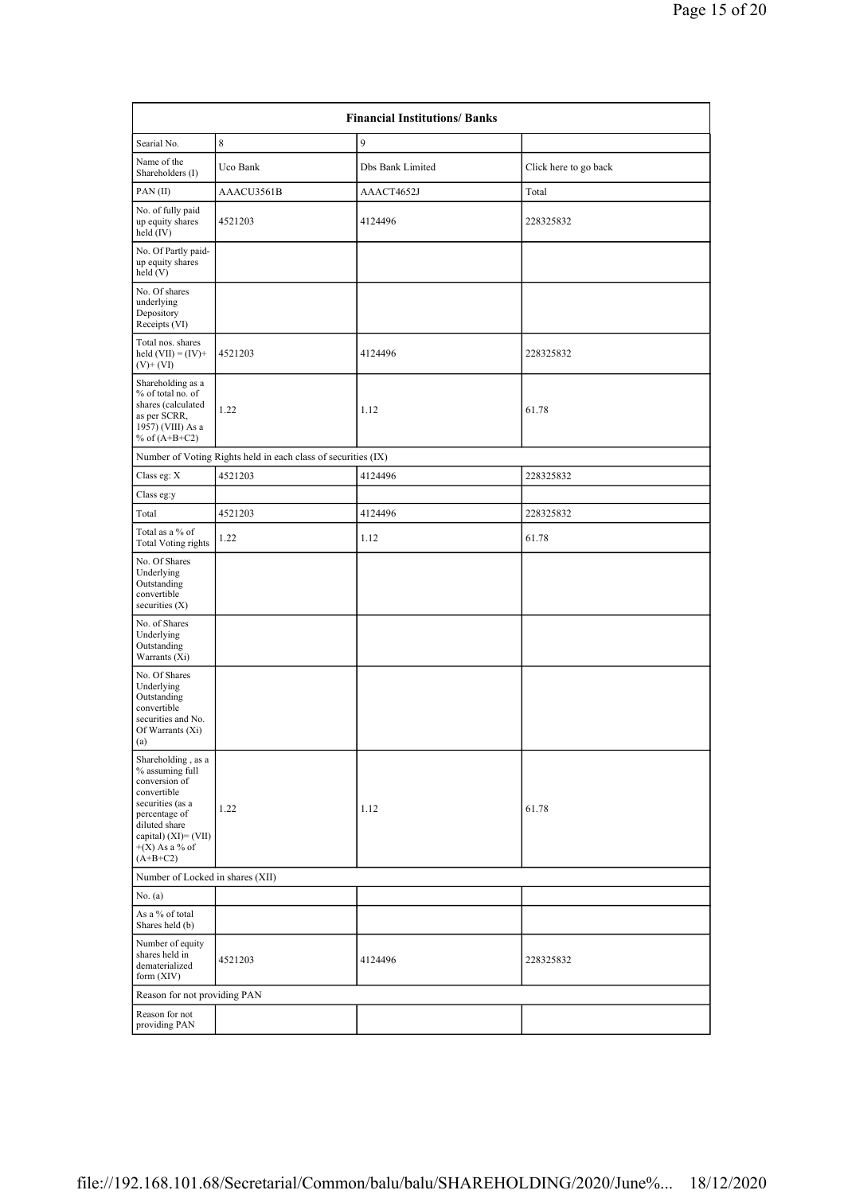| <b>Financial Institutions/ Banks</b>                                                                                                                                                     |                                                               |                  |                       |  |  |  |  |
|------------------------------------------------------------------------------------------------------------------------------------------------------------------------------------------|---------------------------------------------------------------|------------------|-----------------------|--|--|--|--|
| Searial No.                                                                                                                                                                              | 8                                                             | 9                |                       |  |  |  |  |
| Name of the<br>Shareholders (I)                                                                                                                                                          | Uco Bank                                                      | Dbs Bank Limited | Click here to go back |  |  |  |  |
| PAN(II)                                                                                                                                                                                  | AAACU3561B                                                    | AAACT4652J       | Total                 |  |  |  |  |
| No. of fully paid<br>up equity shares<br>held (IV)                                                                                                                                       | 4521203                                                       | 4124496          | 228325832             |  |  |  |  |
| No. Of Partly paid-<br>up equity shares<br>held(V)                                                                                                                                       |                                                               |                  |                       |  |  |  |  |
| No. Of shares<br>underlying<br>Depository<br>Receipts (VI)                                                                                                                               |                                                               |                  |                       |  |  |  |  |
| Total nos. shares<br>held $(VII) = (IV) +$<br>$(V)+(VI)$                                                                                                                                 | 4521203                                                       | 4124496          | 228325832             |  |  |  |  |
| Shareholding as a<br>% of total no. of<br>shares (calculated<br>as per SCRR,<br>1957) (VIII) As a<br>% of $(A+B+C2)$                                                                     | 1.22                                                          | 1.12             | 61.78                 |  |  |  |  |
|                                                                                                                                                                                          | Number of Voting Rights held in each class of securities (IX) |                  |                       |  |  |  |  |
| Class eg: X                                                                                                                                                                              | 4521203                                                       | 4124496          | 228325832             |  |  |  |  |
| Class eg:y                                                                                                                                                                               |                                                               |                  |                       |  |  |  |  |
| Total                                                                                                                                                                                    | 4521203                                                       | 4124496          | 228325832             |  |  |  |  |
| Total as a % of<br><b>Total Voting rights</b>                                                                                                                                            | 1.22                                                          | 1.12             | 61.78                 |  |  |  |  |
| No. Of Shares<br>Underlying<br>Outstanding<br>convertible<br>securities $(X)$                                                                                                            |                                                               |                  |                       |  |  |  |  |
| No. of Shares<br>Underlying<br>Outstanding<br>Warrants (Xi)                                                                                                                              |                                                               |                  |                       |  |  |  |  |
| No. Of Shares<br>Underlying<br>Outstanding<br>convertible<br>securities and No.<br>Of Warrants (Xi)<br>(a)                                                                               |                                                               |                  |                       |  |  |  |  |
| Shareholding, as a<br>% assuming full<br>conversion of<br>convertible<br>securities (as a<br>percentage of<br>diluted share<br>capital) $(XI) = (VII)$<br>$+(X)$ As a % of<br>$(A+B+C2)$ | 1.22                                                          | 1.12             | 61.78                 |  |  |  |  |
|                                                                                                                                                                                          | Number of Locked in shares (XII)                              |                  |                       |  |  |  |  |
| No. $(a)$                                                                                                                                                                                |                                                               |                  |                       |  |  |  |  |
| As a % of total<br>Shares held (b)                                                                                                                                                       |                                                               |                  |                       |  |  |  |  |
| Number of equity<br>shares held in<br>dematerialized<br>form (XIV)                                                                                                                       | 4521203                                                       | 4124496          | 228325832             |  |  |  |  |
| Reason for not providing PAN                                                                                                                                                             |                                                               |                  |                       |  |  |  |  |
| Reason for not<br>providing PAN                                                                                                                                                          |                                                               |                  |                       |  |  |  |  |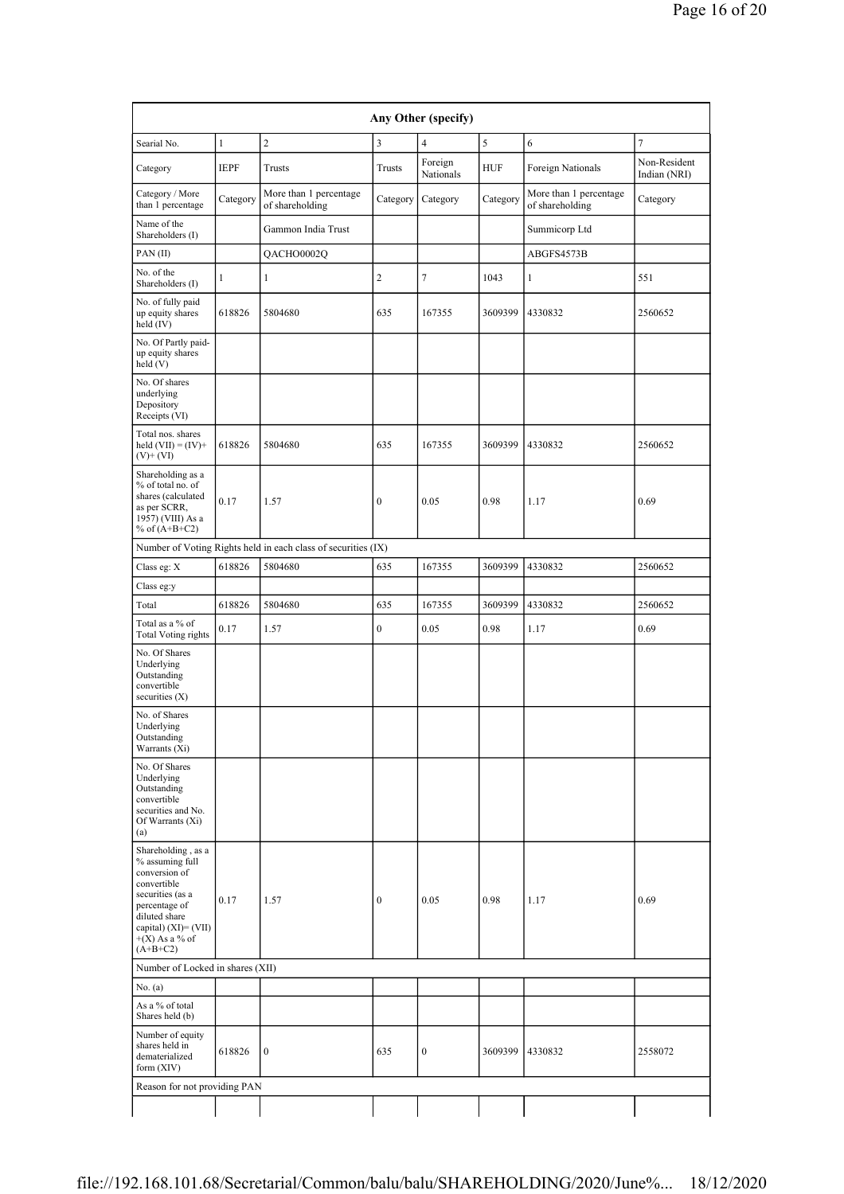| Any Other (specify)                                                                                                                                                                       |                                  |                                                               |                         |                      |            |                                           |                              |  |
|-------------------------------------------------------------------------------------------------------------------------------------------------------------------------------------------|----------------------------------|---------------------------------------------------------------|-------------------------|----------------------|------------|-------------------------------------------|------------------------------|--|
| Searial No.                                                                                                                                                                               | $\mathbf{1}$                     | $\overline{c}$                                                | $\overline{\mathbf{3}}$ | $\overline{4}$       | 5          | 6                                         | $\overline{7}$               |  |
| Category                                                                                                                                                                                  | <b>IEPF</b>                      | Trusts                                                        | Trusts                  | Foreign<br>Nationals | <b>HUF</b> | Foreign Nationals                         | Non-Resident<br>Indian (NRI) |  |
| Category / More<br>than 1 percentage                                                                                                                                                      | Category                         | More than 1 percentage<br>of shareholding                     | Category                | Category             | Category   | More than 1 percentage<br>of shareholding | Category                     |  |
| Name of the<br>Shareholders (I)                                                                                                                                                           |                                  | Gammon India Trust                                            |                         |                      |            | Summicorp Ltd                             |                              |  |
| PAN(II)                                                                                                                                                                                   |                                  | QACHO0002Q                                                    |                         |                      |            | ABGFS4573B                                |                              |  |
| No. of the<br>Shareholders (I)                                                                                                                                                            | 1                                | 1                                                             | $\sqrt{2}$              | 7                    | 1043       | 1                                         | 551                          |  |
| No. of fully paid<br>up equity shares<br>held (IV)                                                                                                                                        | 618826                           | 5804680                                                       | 635                     | 167355               | 3609399    | 4330832                                   | 2560652                      |  |
| No. Of Partly paid-<br>up equity shares<br>held (V)                                                                                                                                       |                                  |                                                               |                         |                      |            |                                           |                              |  |
| No. Of shares<br>underlying<br>Depository<br>Receipts (VI)                                                                                                                                |                                  |                                                               |                         |                      |            |                                           |                              |  |
| Total nos. shares<br>held $(VII) = (IV) +$<br>$(V)$ + $(VI)$                                                                                                                              | 618826                           | 5804680                                                       | 635                     | 167355               | 3609399    | 4330832                                   | 2560652                      |  |
| Shareholding as a<br>% of total no. of<br>shares (calculated<br>as per SCRR,<br>1957) (VIII) As a<br>% of $(A+B+C2)$                                                                      | 0.17                             | 1.57                                                          | $\bf{0}$                | 0.05                 | 0.98       | 1.17                                      | 0.69                         |  |
|                                                                                                                                                                                           |                                  | Number of Voting Rights held in each class of securities (IX) |                         |                      |            |                                           |                              |  |
| Class eg: X                                                                                                                                                                               | 618826                           | 5804680                                                       | 635                     | 167355               | 3609399    | 4330832                                   | 2560652                      |  |
| Class eg:y                                                                                                                                                                                |                                  |                                                               |                         |                      |            |                                           |                              |  |
| Total                                                                                                                                                                                     | 618826                           | 5804680                                                       | 635                     | 167355               | 3609399    | 4330832                                   | 2560652                      |  |
| Total as a % of<br><b>Total Voting rights</b>                                                                                                                                             | 0.17                             | 1.57                                                          | $\boldsymbol{0}$        | 0.05                 | 0.98       | 1.17                                      | 0.69                         |  |
| No. Of Shares<br>Underlying<br>Outstanding<br>convertible<br>securities (X)                                                                                                               |                                  |                                                               |                         |                      |            |                                           |                              |  |
| No. of Shares<br>Underlying<br>Outstanding<br>Warrants (Xi)                                                                                                                               |                                  |                                                               |                         |                      |            |                                           |                              |  |
| No. Of Shares<br>Underlying<br>Outstanding<br>convertible<br>securities and No.<br>Of Warrants (Xi)<br>(a)                                                                                |                                  |                                                               |                         |                      |            |                                           |                              |  |
| Shareholding , as a<br>% assuming full<br>conversion of<br>convertible<br>securities (as a<br>percentage of<br>diluted share<br>capital) $(XI) = (VII)$<br>$+(X)$ As a % of<br>$(A+B+C2)$ | 0.17                             | 1.57                                                          | $\bf{0}$                | 0.05                 | 0.98       | 1.17                                      | 0.69                         |  |
|                                                                                                                                                                                           | Number of Locked in shares (XII) |                                                               |                         |                      |            |                                           |                              |  |
| No. (a)                                                                                                                                                                                   |                                  |                                                               |                         |                      |            |                                           |                              |  |
| As a % of total<br>Shares held (b)                                                                                                                                                        |                                  |                                                               |                         |                      |            |                                           |                              |  |
| Number of equity<br>shares held in<br>dematerialized<br>form (XIV)                                                                                                                        | 618826                           | $\boldsymbol{0}$                                              | 635                     | $\boldsymbol{0}$     | 3609399    | 4330832                                   | 2558072                      |  |
| Reason for not providing PAN                                                                                                                                                              |                                  |                                                               |                         |                      |            |                                           |                              |  |
|                                                                                                                                                                                           |                                  |                                                               |                         |                      |            |                                           |                              |  |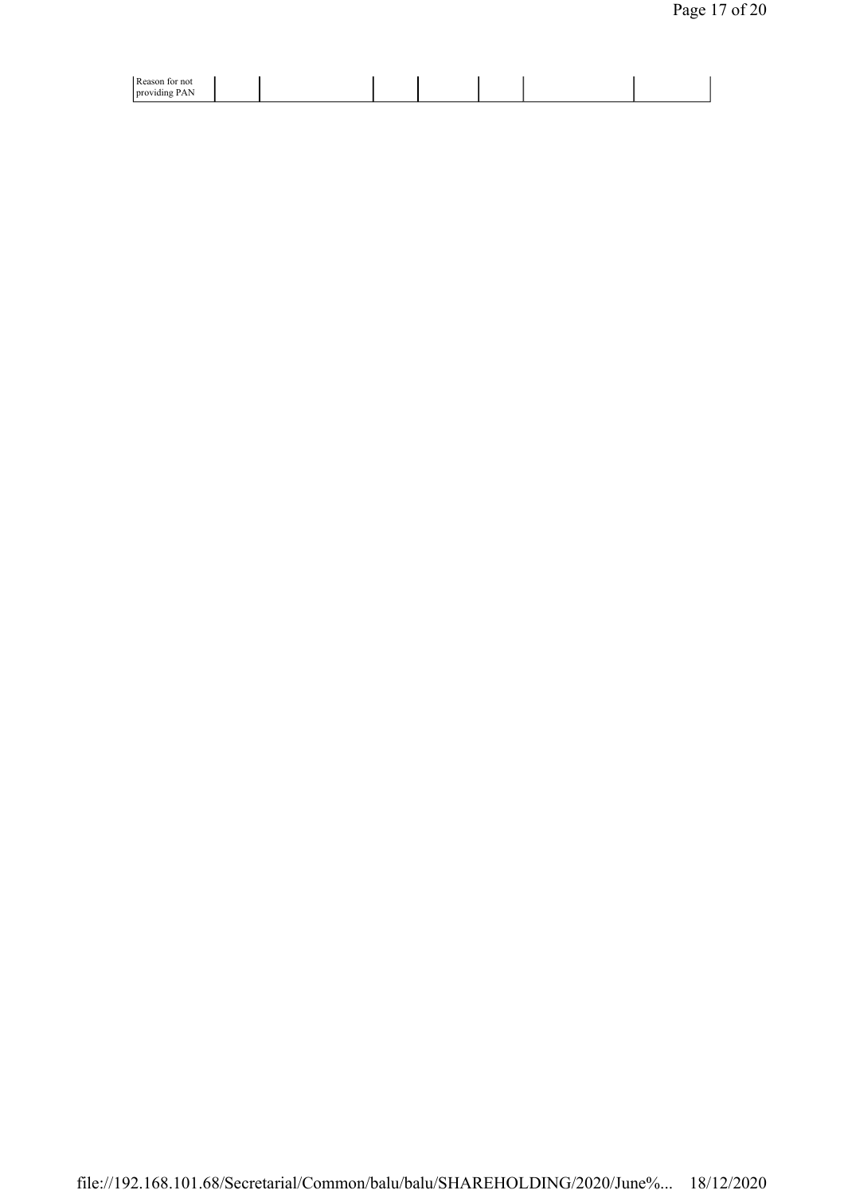| $D$ agent<br>∵not<br>ю<br>rca<br>$\sim$<br><b>Droy</b><br>----<br>⊭ишт<br>T MIA |  |  |
|---------------------------------------------------------------------------------|--|--|
|                                                                                 |  |  |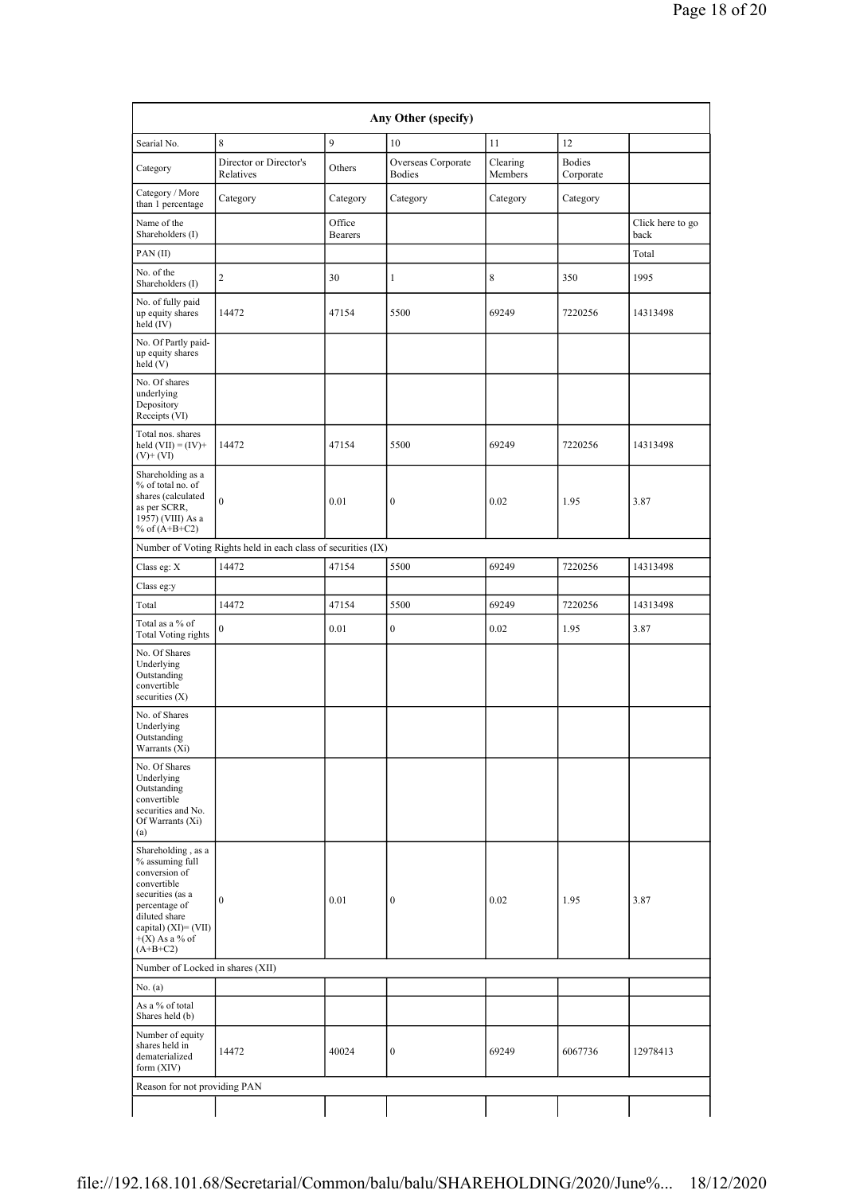| Any Other (specify)                                                                                                                                                                   |                                                               |                          |                                     |                     |                            |                          |  |
|---------------------------------------------------------------------------------------------------------------------------------------------------------------------------------------|---------------------------------------------------------------|--------------------------|-------------------------------------|---------------------|----------------------------|--------------------------|--|
| Searial No.                                                                                                                                                                           | 8                                                             | $\mathbf{q}$             | 10                                  | 11                  | 12                         |                          |  |
| Category                                                                                                                                                                              | Director or Director's<br>Relatives                           | Others                   | Overseas Corporate<br><b>Bodies</b> | Clearing<br>Members | <b>Bodies</b><br>Corporate |                          |  |
| Category / More<br>than 1 percentage                                                                                                                                                  | Category                                                      | Category                 | Category                            | Category            | Category                   |                          |  |
| Name of the<br>Shareholders (I)                                                                                                                                                       |                                                               | Office<br><b>Bearers</b> |                                     |                     |                            | Click here to go<br>back |  |
| PAN(II)                                                                                                                                                                               |                                                               |                          |                                     |                     |                            | Total                    |  |
| No. of the<br>Shareholders (I)                                                                                                                                                        | $\overline{c}$                                                | 30                       | $\mathbf{1}$                        | 8                   | 350                        | 1995                     |  |
| No. of fully paid<br>up equity shares<br>held (IV)                                                                                                                                    | 14472                                                         | 47154                    | 5500                                | 69249               | 7220256                    | 14313498                 |  |
| No. Of Partly paid-<br>up equity shares<br>held (V)                                                                                                                                   |                                                               |                          |                                     |                     |                            |                          |  |
| No. Of shares<br>underlying<br>Depository<br>Receipts (VI)                                                                                                                            |                                                               |                          |                                     |                     |                            |                          |  |
| Total nos. shares<br>held $(VII) = (IV) +$<br>$(V)$ + $(VI)$                                                                                                                          | 14472                                                         | 47154                    | 5500                                | 69249               | 7220256                    | 14313498                 |  |
| Shareholding as a<br>% of total no. of<br>shares (calculated<br>as per SCRR,<br>1957) (VIII) As a<br>% of $(A+B+C2)$                                                                  | $\mathbf{0}$                                                  | 0.01                     | $\boldsymbol{0}$                    | 0.02                | 1.95                       | 3.87                     |  |
|                                                                                                                                                                                       | Number of Voting Rights held in each class of securities (IX) |                          |                                     |                     |                            |                          |  |
| Class eg: X                                                                                                                                                                           | 14472                                                         | 47154                    | 5500                                | 69249               | 7220256                    | 14313498                 |  |
| Class eg:y                                                                                                                                                                            |                                                               |                          |                                     |                     |                            |                          |  |
| Total                                                                                                                                                                                 | 14472                                                         | 47154                    | 5500                                | 69249               | 7220256                    | 14313498                 |  |
| Total as a % of<br><b>Total Voting rights</b>                                                                                                                                         | $\mathbf{0}$                                                  | 0.01                     | $\boldsymbol{0}$                    | 0.02                | 1.95                       | 3.87                     |  |
| No. Of Shares<br>Underlying<br>Outstanding<br>convertible<br>securities $(X)$                                                                                                         |                                                               |                          |                                     |                     |                            |                          |  |
| No. of Shares<br>Underlying<br>Outstanding<br>Warrants (Xi)                                                                                                                           |                                                               |                          |                                     |                     |                            |                          |  |
| No. Of Shares<br>Underlying<br>Outstanding<br>convertible<br>securities and No.<br>Of Warrants (Xi)<br>(a)                                                                            |                                                               |                          |                                     |                     |                            |                          |  |
| Shareholding, as a<br>% assuming full<br>conversion of<br>convertible<br>securities (as a<br>percentage of<br>diluted share<br>capital) (XI)= (VII)<br>$+(X)$ As a % of<br>$(A+B+C2)$ | $\boldsymbol{0}$                                              | 0.01                     | $\boldsymbol{0}$                    | 0.02                | 1.95                       | 3.87                     |  |
| Number of Locked in shares (XII)                                                                                                                                                      |                                                               |                          |                                     |                     |                            |                          |  |
| No. (a)                                                                                                                                                                               |                                                               |                          |                                     |                     |                            |                          |  |
| As a % of total<br>Shares held (b)                                                                                                                                                    |                                                               |                          |                                     |                     |                            |                          |  |
| Number of equity<br>shares held in<br>dematerialized<br>form (XIV)                                                                                                                    | 14472                                                         | 40024                    | $\boldsymbol{0}$                    | 69249               | 6067736                    | 12978413                 |  |
| Reason for not providing PAN                                                                                                                                                          |                                                               |                          |                                     |                     |                            |                          |  |
|                                                                                                                                                                                       |                                                               |                          |                                     |                     |                            |                          |  |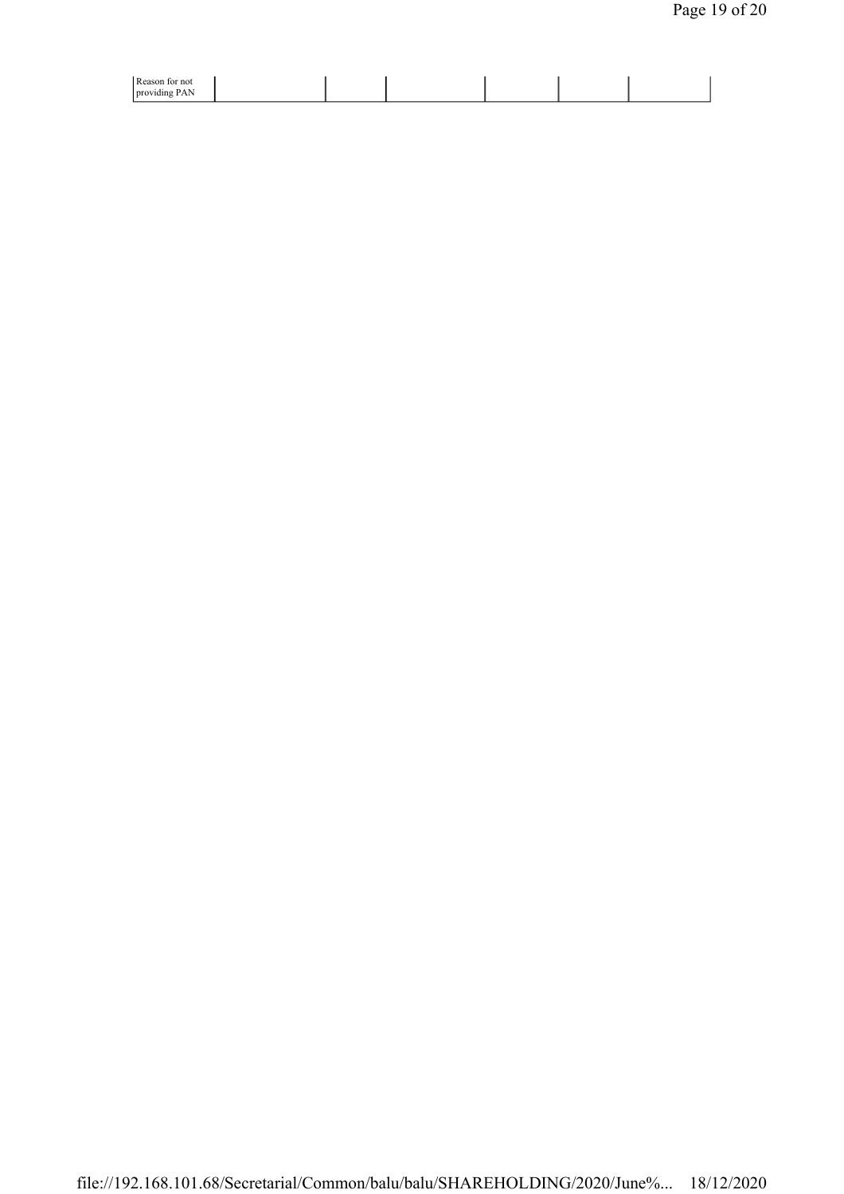| Reason for not<br>.<br>: PAN<br>providing |  |  |  |
|-------------------------------------------|--|--|--|
|                                           |  |  |  |